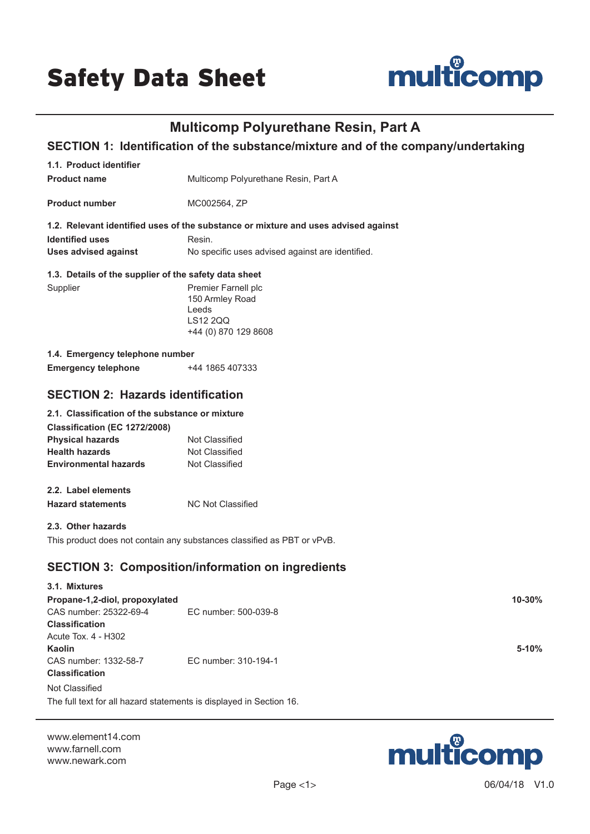

# **Multicomp Polyurethane Resin, Part A**

# **SECTION 1: Identification of the substance/mixture and of the company/undertaking**

| 1.1. Product identifier                                             |                                                                                    |  |
|---------------------------------------------------------------------|------------------------------------------------------------------------------------|--|
| <b>Product name</b>                                                 | Multicomp Polyurethane Resin, Part A                                               |  |
| <b>Product number</b>                                               | MC002564, ZP                                                                       |  |
|                                                                     | 1.2. Relevant identified uses of the substance or mixture and uses advised against |  |
| <b>Identified uses</b>                                              | Resin.                                                                             |  |
| <b>Uses advised against</b>                                         | No specific uses advised against are identified.                                   |  |
| 1.3. Details of the supplier of the safety data sheet               |                                                                                    |  |
| Supplier                                                            | Premier Farnell plc                                                                |  |
|                                                                     | 150 Armley Road                                                                    |  |
|                                                                     | Leeds                                                                              |  |
|                                                                     | LS12 2QQ                                                                           |  |
|                                                                     | +44 (0) 870 129 8608                                                               |  |
| 1.4. Emergency telephone number                                     |                                                                                    |  |
| <b>Emergency telephone</b>                                          | +44 1865 407333                                                                    |  |
|                                                                     |                                                                                    |  |
| <b>SECTION 2: Hazards identification</b>                            |                                                                                    |  |
| 2.1. Classification of the substance or mixture                     |                                                                                    |  |
| Classification (EC 1272/2008)                                       |                                                                                    |  |
| <b>Physical hazards</b>                                             | Not Classified                                                                     |  |
| <b>Health hazards</b>                                               | Not Classified                                                                     |  |
| <b>Environmental hazards</b>                                        | Not Classified                                                                     |  |
|                                                                     |                                                                                    |  |
| 2.2. Label elements                                                 |                                                                                    |  |
| <b>Hazard statements</b>                                            | <b>NC Not Classified</b>                                                           |  |
| 2.3. Other hazards                                                  |                                                                                    |  |
|                                                                     | This product does not contain any substances classified as PBT or vPvB.            |  |
|                                                                     |                                                                                    |  |
|                                                                     | <b>SECTION 3: Composition/information on ingredients</b>                           |  |
| 3.1. Mixtures                                                       |                                                                                    |  |
| Propane-1,2-diol, propoxylated                                      | 10-30%                                                                             |  |
| CAS number: 25322-69-4                                              | EC number: 500-039-8                                                               |  |
| <b>Classification</b>                                               |                                                                                    |  |
| Acute Tox. 4 - H302                                                 |                                                                                    |  |
| Kaolin                                                              | 5-10%                                                                              |  |
| CAS number: 1332-58-7                                               | EC number: 310-194-1                                                               |  |
| <b>Classification</b>                                               |                                                                                    |  |
| Not Classified                                                      |                                                                                    |  |
| The full text for all hazard statements is displayed in Section 16. |                                                                                    |  |
|                                                                     |                                                                                    |  |

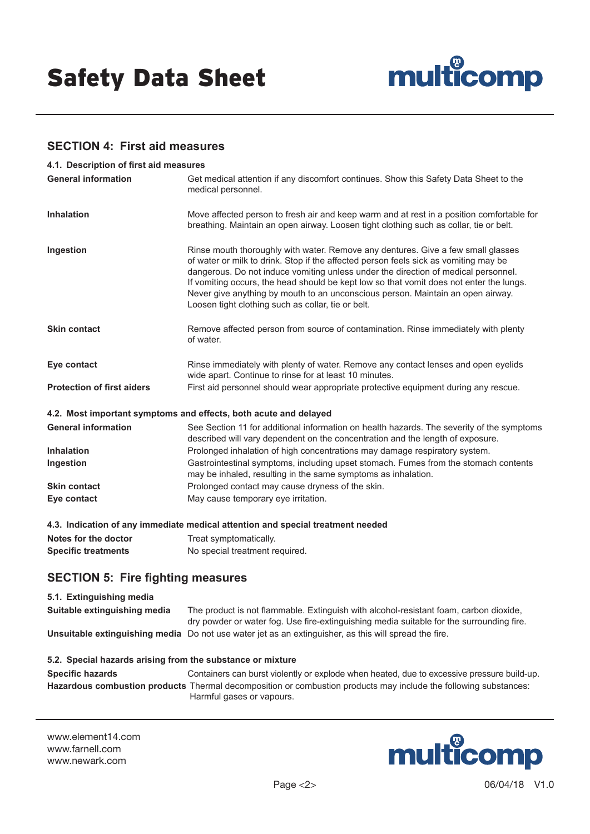

### **SECTION 4: First aid measures**

| 4.1. Description of first aid measures |                                                                                                                                                                                                                                                                                                                                                                                                                                                                                                    |
|----------------------------------------|----------------------------------------------------------------------------------------------------------------------------------------------------------------------------------------------------------------------------------------------------------------------------------------------------------------------------------------------------------------------------------------------------------------------------------------------------------------------------------------------------|
| <b>General information</b>             | Get medical attention if any discomfort continues. Show this Safety Data Sheet to the<br>medical personnel.                                                                                                                                                                                                                                                                                                                                                                                        |
| <b>Inhalation</b>                      | Move affected person to fresh air and keep warm and at rest in a position comfortable for<br>breathing. Maintain an open airway. Loosen tight clothing such as collar, tie or belt.                                                                                                                                                                                                                                                                                                                |
| Ingestion                              | Rinse mouth thoroughly with water. Remove any dentures. Give a few small glasses<br>of water or milk to drink. Stop if the affected person feels sick as vomiting may be<br>dangerous. Do not induce vomiting unless under the direction of medical personnel.<br>If vomiting occurs, the head should be kept low so that vomit does not enter the lungs.<br>Never give anything by mouth to an unconscious person. Maintain an open airway.<br>Loosen tight clothing such as collar, tie or belt. |
| <b>Skin contact</b>                    | Remove affected person from source of contamination. Rinse immediately with plenty<br>of water.                                                                                                                                                                                                                                                                                                                                                                                                    |
| Eye contact                            | Rinse immediately with plenty of water. Remove any contact lenses and open eyelids<br>wide apart. Continue to rinse for at least 10 minutes.                                                                                                                                                                                                                                                                                                                                                       |
| <b>Protection of first aiders</b>      | First aid personnel should wear appropriate protective equipment during any rescue.                                                                                                                                                                                                                                                                                                                                                                                                                |
|                                        | 4.2. Most important symptoms and effects, both acute and delayed                                                                                                                                                                                                                                                                                                                                                                                                                                   |
| <b>General information</b>             | See Section 11 for additional information on health hazards. The severity of the symptoms<br>described will vary dependent on the concentration and the length of exposure.                                                                                                                                                                                                                                                                                                                        |
| <b>Inhalation</b>                      | Prolonged inhalation of high concentrations may damage respiratory system.                                                                                                                                                                                                                                                                                                                                                                                                                         |
| Ingestion                              | Gastrointestinal symptoms, including upset stomach. Fumes from the stomach contents<br>may be inhaled, resulting in the same symptoms as inhalation.                                                                                                                                                                                                                                                                                                                                               |
| <b>Skin contact</b>                    | Prolonged contact may cause dryness of the skin.                                                                                                                                                                                                                                                                                                                                                                                                                                                   |
| Eye contact                            | May cause temporary eye irritation.                                                                                                                                                                                                                                                                                                                                                                                                                                                                |
|                                        | 4.3. Indication of any immediate medical attention and special treatment needed                                                                                                                                                                                                                                                                                                                                                                                                                    |
| Notes for the doctor                   | Treat symptomatically.                                                                                                                                                                                                                                                                                                                                                                                                                                                                             |

# **Specific treatments** No special treatment required.

# **SECTION 5: Fire fighting measures**

### **5.1. Extinguishing media Suitable extinguishing media** The product is not flammable. Extinguish with alcohol-resistant foam, carbon dioxide, dry powder or water fog. Use fire-extinguishing media suitable for the surrounding fire. **Unsuitable extinguishing media** Do not use water jet as an extinguisher, as this will spread the fire.

### **5.2. Special hazards arising from the substance or mixture**

**Specific hazards** Containers can burst violently or explode when heated, due to excessive pressure build-up. **Hazardous combustion products** Thermal decomposition or combustion products may include the following substances: Harmful gases or vapours.

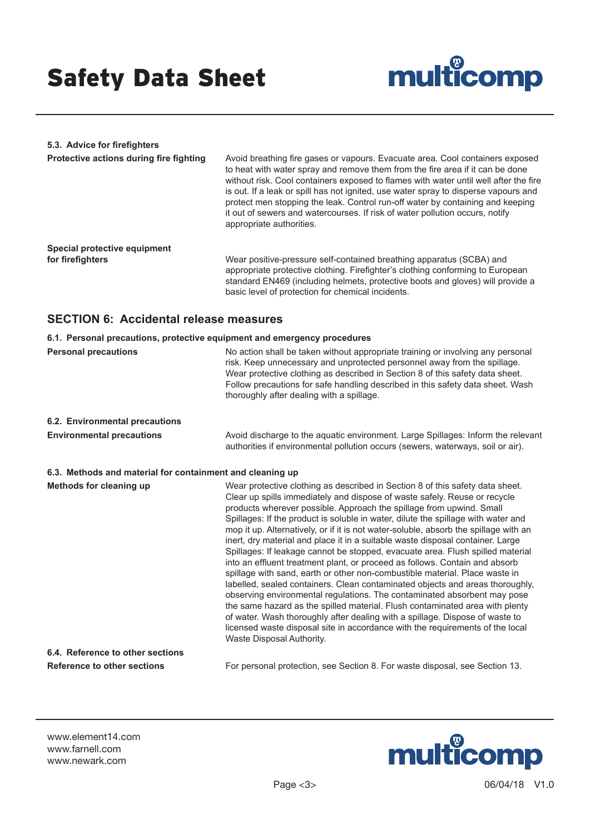

### **5.3. Advice for firefighters Protective actions during fire fighting** Avoid breathing fire gases or vapours. Evacuate area. Cool containers exposed to heat with water spray and remove them from the fire area if it can be done without risk. Cool containers exposed to flames with water until well after the fire is out. If a leak or spill has not ignited, use water spray to disperse vapours and protect men stopping the leak. Control run-off water by containing and keeping it out of sewers and watercourses. If risk of water pollution occurs, notify appropriate authorities. **Special protective equipment**  Wear positive-pressure self-contained breathing apparatus (SCBA) and appropriate protective clothing. Firefighter's clothing conforming to European standard EN469 (including helmets, protective boots and gloves) will provide a basic level of protection for chemical incidents.

### **SECTION 6: Accidental release measures**

| 6.1. Personal precautions, protective equipment and emergency procedures |                                                                                                                                                                                                                                                                                                                                                                                                                                                                                                                                                                                                                                                                                                                                                                                                                                                                                                                                                                                                                                                                                                                                                                                              |  |
|--------------------------------------------------------------------------|----------------------------------------------------------------------------------------------------------------------------------------------------------------------------------------------------------------------------------------------------------------------------------------------------------------------------------------------------------------------------------------------------------------------------------------------------------------------------------------------------------------------------------------------------------------------------------------------------------------------------------------------------------------------------------------------------------------------------------------------------------------------------------------------------------------------------------------------------------------------------------------------------------------------------------------------------------------------------------------------------------------------------------------------------------------------------------------------------------------------------------------------------------------------------------------------|--|
| <b>Personal precautions</b>                                              | No action shall be taken without appropriate training or involving any personal<br>risk. Keep unnecessary and unprotected personnel away from the spillage.<br>Wear protective clothing as described in Section 8 of this safety data sheet.<br>Follow precautions for safe handling described in this safety data sheet. Wash<br>thoroughly after dealing with a spillage.                                                                                                                                                                                                                                                                                                                                                                                                                                                                                                                                                                                                                                                                                                                                                                                                                  |  |
| 6.2. Environmental precautions                                           |                                                                                                                                                                                                                                                                                                                                                                                                                                                                                                                                                                                                                                                                                                                                                                                                                                                                                                                                                                                                                                                                                                                                                                                              |  |
| <b>Environmental precautions</b>                                         | Avoid discharge to the aquatic environment. Large Spillages: Inform the relevant<br>authorities if environmental pollution occurs (sewers, waterways, soil or air).                                                                                                                                                                                                                                                                                                                                                                                                                                                                                                                                                                                                                                                                                                                                                                                                                                                                                                                                                                                                                          |  |
| 6.3. Methods and material for containment and cleaning up                |                                                                                                                                                                                                                                                                                                                                                                                                                                                                                                                                                                                                                                                                                                                                                                                                                                                                                                                                                                                                                                                                                                                                                                                              |  |
| Methods for cleaning up                                                  | Wear protective clothing as described in Section 8 of this safety data sheet.<br>Clear up spills immediately and dispose of waste safely. Reuse or recycle<br>products wherever possible. Approach the spillage from upwind. Small<br>Spillages: If the product is soluble in water, dilute the spillage with water and<br>mop it up. Alternatively, or if it is not water-soluble, absorb the spillage with an<br>inert, dry material and place it in a suitable waste disposal container. Large<br>Spillages: If leakage cannot be stopped, evacuate area. Flush spilled material<br>into an effluent treatment plant, or proceed as follows. Contain and absorb<br>spillage with sand, earth or other non-combustible material. Place waste in<br>labelled, sealed containers. Clean contaminated objects and areas thoroughly,<br>observing environmental regulations. The contaminated absorbent may pose<br>the same hazard as the spilled material. Flush contaminated area with plenty<br>of water. Wash thoroughly after dealing with a spillage. Dispose of waste to<br>licensed waste disposal site in accordance with the requirements of the local<br>Waste Disposal Authority. |  |
| 6.4. Reference to other sections                                         |                                                                                                                                                                                                                                                                                                                                                                                                                                                                                                                                                                                                                                                                                                                                                                                                                                                                                                                                                                                                                                                                                                                                                                                              |  |
| Reference to other sections                                              | For personal protection, see Section 8. For waste disposal, see Section 13.                                                                                                                                                                                                                                                                                                                                                                                                                                                                                                                                                                                                                                                                                                                                                                                                                                                                                                                                                                                                                                                                                                                  |  |

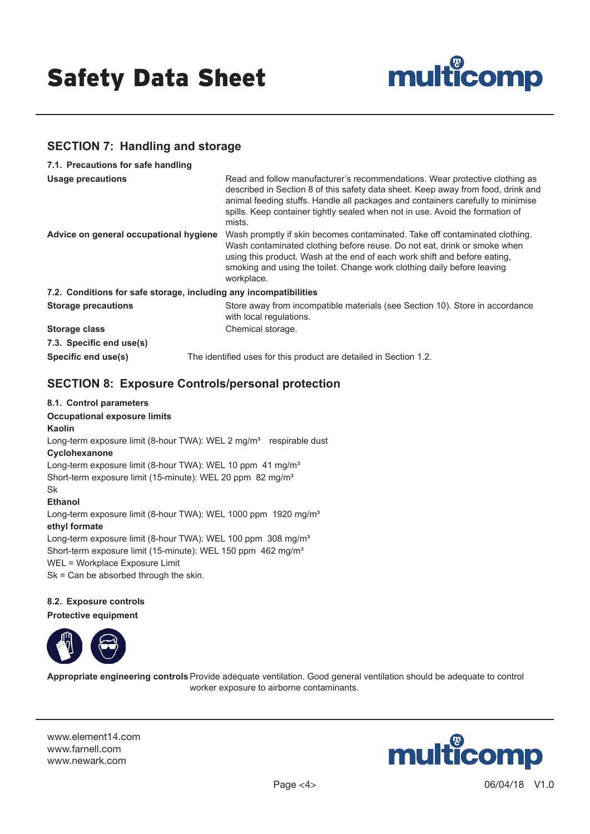

# **SECTION 7: Handling and storage**

| 7.1. Precautions for safe handling                                |                                                                                                                                                                                                                                                                                                                                               |
|-------------------------------------------------------------------|-----------------------------------------------------------------------------------------------------------------------------------------------------------------------------------------------------------------------------------------------------------------------------------------------------------------------------------------------|
| <b>Usage precautions</b>                                          | Read and follow manufacturer's recommendations. Wear protective clothing as<br>described in Section 8 of this safety data sheet. Keep away from food, drink and<br>animal feeding stuffs. Handle all packages and containers carefully to minimise<br>spills. Keep container tightly sealed when not in use. Avoid the formation of<br>mists. |
| Advice on general occupational hygiene                            | Wash promptly if skin becomes contaminated. Take off contaminated clothing.<br>Wash contaminated clothing before reuse. Do not eat, drink or smoke when<br>using this product. Wash at the end of each work shift and before eating,<br>smoking and using the toilet. Change work clothing daily before leaving<br>workplace.                 |
| 7.2. Conditions for safe storage, including any incompatibilities |                                                                                                                                                                                                                                                                                                                                               |
| <b>Storage precautions</b>                                        | Store away from incompatible materials (see Section 10). Store in accordance<br>with local regulations.                                                                                                                                                                                                                                       |
| <b>Storage class</b>                                              | Chemical storage.                                                                                                                                                                                                                                                                                                                             |
| 7.3. Specific end use(s)                                          |                                                                                                                                                                                                                                                                                                                                               |
| Specific end use(s)                                               | The identified uses for this product are detailed in Section 1.2.                                                                                                                                                                                                                                                                             |

# **SECTION 8: Exposure Controls/personal protection**

#### **8.1. Control parameters**

**Occupational exposure limits**

#### **Kaolin**

Long-term exposure limit (8-hour TWA): WEL 2 mg/m<sup>3</sup> respirable dust

### **Cyclohexanone**

Long-term exposure limit (8-hour TWA): WEL 10 ppm 41 mg/m<sup>3</sup> Short-term exposure limit (15-minute): WEL 20 ppm 82 mg/m<sup>3</sup> Sk

**Ethanol** Long-term exposure limit (8-hour TWA): WEL 1000 ppm 1920 mg/m<sup>3</sup> **ethyl formate** Long-term exposure limit (8-hour TWA): WEL 100 ppm 308 mg/m<sup>3</sup> Short-term exposure limit (15-minute): WEL 150 ppm 462 mg/m<sup>3</sup> WEL = Workplace Exposure Limit Sk = Can be absorbed through the skin.

#### **8.2. Exposure controls**

**Protective equipment**



**Appropriate engineering controls**Provide adequate ventilation. Good general ventilation should be adequate to control worker exposure to airborne contaminants.

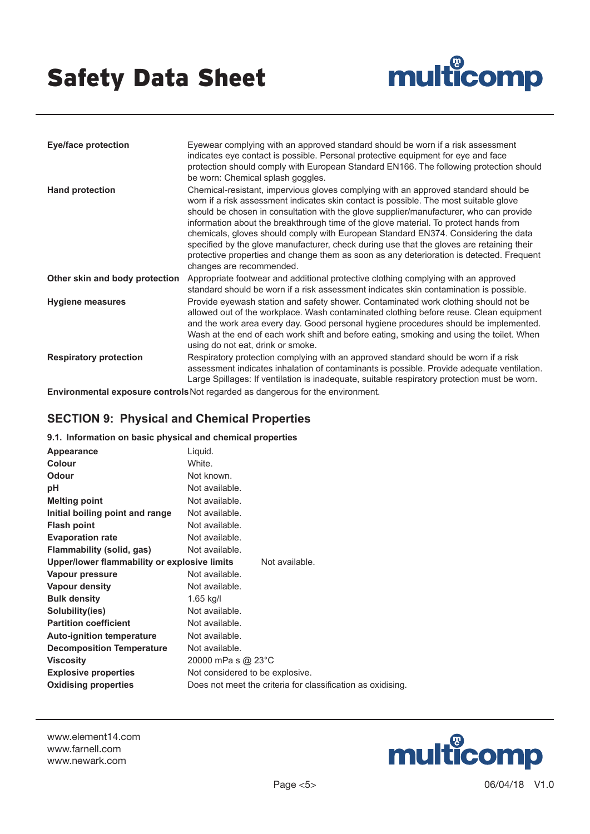

| <b>Eye/face protection</b>     | Eyewear complying with an approved standard should be worn if a risk assessment<br>indicates eye contact is possible. Personal protective equipment for eye and face<br>protection should comply with European Standard EN166. The following protection should<br>be worn: Chemical splash goggles.                                                                                                                                                                                                                                                                                                                                                                       |
|--------------------------------|---------------------------------------------------------------------------------------------------------------------------------------------------------------------------------------------------------------------------------------------------------------------------------------------------------------------------------------------------------------------------------------------------------------------------------------------------------------------------------------------------------------------------------------------------------------------------------------------------------------------------------------------------------------------------|
| <b>Hand protection</b>         | Chemical-resistant, impervious gloves complying with an approved standard should be<br>worn if a risk assessment indicates skin contact is possible. The most suitable glove<br>should be chosen in consultation with the glove supplier/manufacturer, who can provide<br>information about the breakthrough time of the glove material. To protect hands from<br>chemicals, gloves should comply with European Standard EN374. Considering the data<br>specified by the glove manufacturer, check during use that the gloves are retaining their<br>protective properties and change them as soon as any deterioration is detected. Frequent<br>changes are recommended. |
| Other skin and body protection | Appropriate footwear and additional protective clothing complying with an approved<br>standard should be worn if a risk assessment indicates skin contamination is possible.                                                                                                                                                                                                                                                                                                                                                                                                                                                                                              |
| <b>Hygiene measures</b>        | Provide eyewash station and safety shower. Contaminated work clothing should not be<br>allowed out of the workplace. Wash contaminated clothing before reuse. Clean equipment<br>and the work area every day. Good personal hygiene procedures should be implemented.<br>Wash at the end of each work shift and before eating, smoking and using the toilet. When<br>using do not eat, drink or smoke.                                                                                                                                                                                                                                                                    |
| <b>Respiratory protection</b>  | Respiratory protection complying with an approved standard should be worn if a risk<br>assessment indicates inhalation of contaminants is possible. Provide adequate ventilation.<br>Large Spillages: If ventilation is inadequate, suitable respiratory protection must be worn.                                                                                                                                                                                                                                                                                                                                                                                         |

**Environmental exposure controls**Not regarded as dangerous for the environment.

# **SECTION 9: Physical and Chemical Properties**

### **9.1. Information on basic physical and chemical properties**

| Appearance                                   | Liquid.                                                     |
|----------------------------------------------|-------------------------------------------------------------|
| Colour                                       | White.                                                      |
| <b>Odour</b>                                 | Not known.                                                  |
| рH                                           | Not available.                                              |
| <b>Melting point</b>                         | Not available.                                              |
| Initial boiling point and range              | Not available.                                              |
| <b>Flash point</b>                           | Not available.                                              |
| <b>Evaporation rate</b>                      | Not available.                                              |
| Flammability (solid, gas)                    | Not available.                                              |
| Upper/lower flammability or explosive limits | Not available.                                              |
| Vapour pressure                              | Not available.                                              |
| Vapour density                               | Not available.                                              |
| <b>Bulk density</b>                          | $1.65$ kg/l                                                 |
| Solubility(ies)                              | Not available.                                              |
| <b>Partition coefficient</b>                 | Not available.                                              |
| <b>Auto-ignition temperature</b>             | Not available.                                              |
| <b>Decomposition Temperature</b>             | Not available.                                              |
| <b>Viscosity</b>                             | 20000 mPa s @ 23°C                                          |
| <b>Explosive properties</b>                  | Not considered to be explosive.                             |
| <b>Oxidising properties</b>                  | Does not meet the criteria for classification as oxidising. |
|                                              |                                                             |

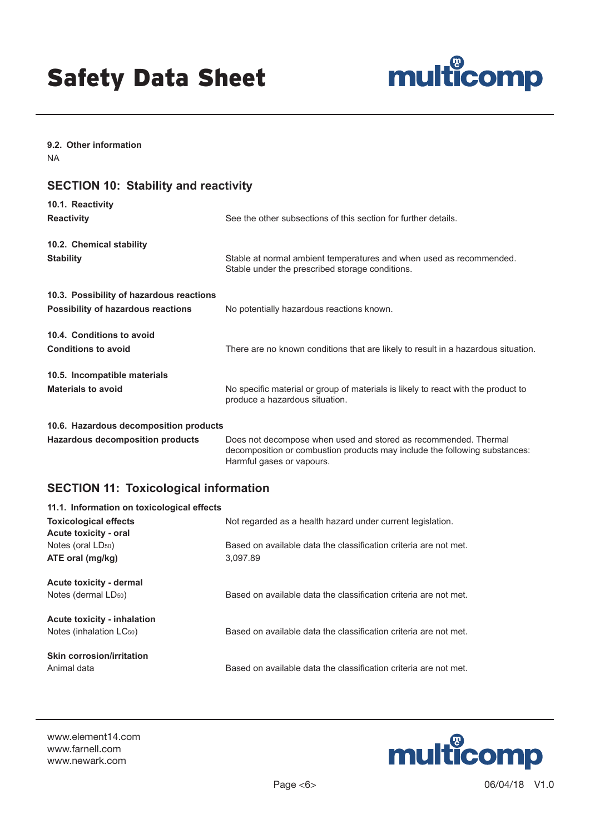

**9.2. Other information** NA

# **SECTION 10: Stability and reactivity**

| 10.1. Reactivity                                                                      |                                                                                                                        |
|---------------------------------------------------------------------------------------|------------------------------------------------------------------------------------------------------------------------|
| <b>Reactivity</b>                                                                     | See the other subsections of this section for further details.                                                         |
| 10.2. Chemical stability<br><b>Stability</b>                                          | Stable at normal ambient temperatures and when used as recommended.<br>Stable under the prescribed storage conditions. |
| 10.3. Possibility of hazardous reactions<br><b>Possibility of hazardous reactions</b> | No potentially hazardous reactions known.                                                                              |
| 10.4. Conditions to avoid<br><b>Conditions to avoid</b>                               | There are no known conditions that are likely to result in a hazardous situation.                                      |
| 10.5. Incompatible materials<br><b>Materials to avoid</b>                             | No specific material or group of materials is likely to react with the product to<br>produce a hazardous situation.    |
| 10.6. Hazardous decomposition products                                                |                                                                                                                        |

**Hazardous decomposition products** Does not decompose when used and stored as recommended. Thermal decomposition or combustion products may include the following substances: Harmful gases or vapours.

# **SECTION 11: Toxicological information**

| 11.1. Information on toxicological effects |                                                                  |  |
|--------------------------------------------|------------------------------------------------------------------|--|
| <b>Toxicological effects</b>               | Not regarded as a health hazard under current legislation.       |  |
| Acute toxicity - oral                      |                                                                  |  |
| Notes (oral LD <sub>50</sub> )             | Based on available data the classification criteria are not met. |  |
| ATE oral (mg/kg)                           | 3.097.89                                                         |  |
| <b>Acute toxicity - dermal</b>             |                                                                  |  |
| Notes (dermal LD <sub>50</sub> )           | Based on available data the classification criteria are not met. |  |
| <b>Acute toxicity - inhalation</b>         |                                                                  |  |
| Notes (inhalation LC <sub>50</sub> )       | Based on available data the classification criteria are not met. |  |
| <b>Skin corrosion/irritation</b>           |                                                                  |  |
| Animal data                                | Based on available data the classification criteria are not met. |  |

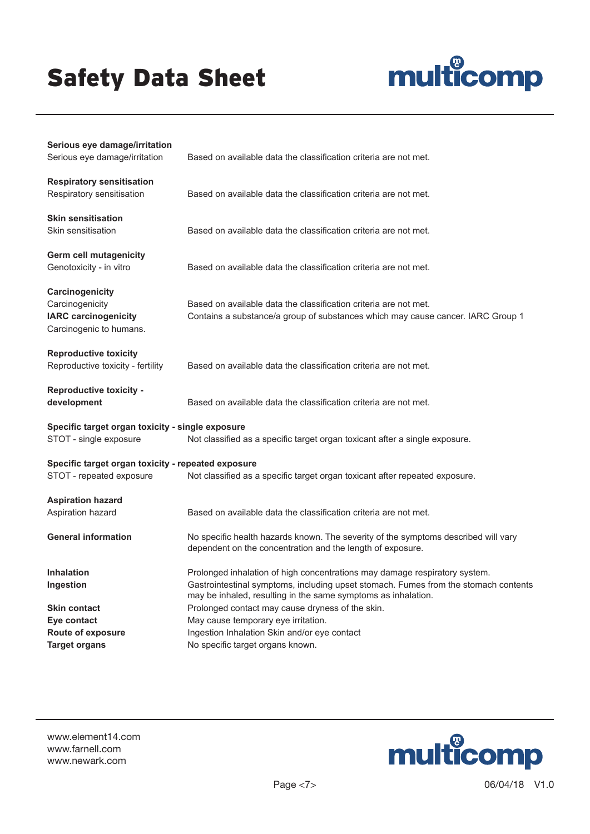

| Serious eye damage/irritation<br>Serious eye damage/irritation                               | Based on available data the classification criteria are not met.                                                                                                                                                                   |
|----------------------------------------------------------------------------------------------|------------------------------------------------------------------------------------------------------------------------------------------------------------------------------------------------------------------------------------|
| <b>Respiratory sensitisation</b><br>Respiratory sensitisation                                | Based on available data the classification criteria are not met.                                                                                                                                                                   |
| <b>Skin sensitisation</b><br>Skin sensitisation                                              | Based on available data the classification criteria are not met.                                                                                                                                                                   |
| <b>Germ cell mutagenicity</b><br>Genotoxicity - in vitro                                     | Based on available data the classification criteria are not met.                                                                                                                                                                   |
| Carcinogenicity<br>Carcinogenicity<br><b>IARC carcinogenicity</b><br>Carcinogenic to humans. | Based on available data the classification criteria are not met.<br>Contains a substance/a group of substances which may cause cancer. IARC Group 1                                                                                |
| <b>Reproductive toxicity</b><br>Reproductive toxicity - fertility                            | Based on available data the classification criteria are not met.                                                                                                                                                                   |
| <b>Reproductive toxicity -</b><br>development                                                | Based on available data the classification criteria are not met.                                                                                                                                                                   |
| Specific target organ toxicity - single exposure<br>STOT - single exposure                   | Not classified as a specific target organ toxicant after a single exposure.                                                                                                                                                        |
| Specific target organ toxicity - repeated exposure<br>STOT - repeated exposure               | Not classified as a specific target organ toxicant after repeated exposure.                                                                                                                                                        |
| <b>Aspiration hazard</b><br>Aspiration hazard                                                | Based on available data the classification criteria are not met.                                                                                                                                                                   |
| <b>General information</b>                                                                   | No specific health hazards known. The severity of the symptoms described will vary<br>dependent on the concentration and the length of exposure.                                                                                   |
| <b>Inhalation</b><br>Ingestion                                                               | Prolonged inhalation of high concentrations may damage respiratory system.<br>Gastrointestinal symptoms, including upset stomach. Fumes from the stomach contents<br>may be inhaled, resulting in the same symptoms as inhalation. |
| <b>Skin contact</b>                                                                          | Prolonged contact may cause dryness of the skin.                                                                                                                                                                                   |
| Eye contact                                                                                  | May cause temporary eye irritation.                                                                                                                                                                                                |
| Route of exposure                                                                            | Ingestion Inhalation Skin and/or eye contact                                                                                                                                                                                       |
| <b>Target organs</b>                                                                         | No specific target organs known.                                                                                                                                                                                                   |

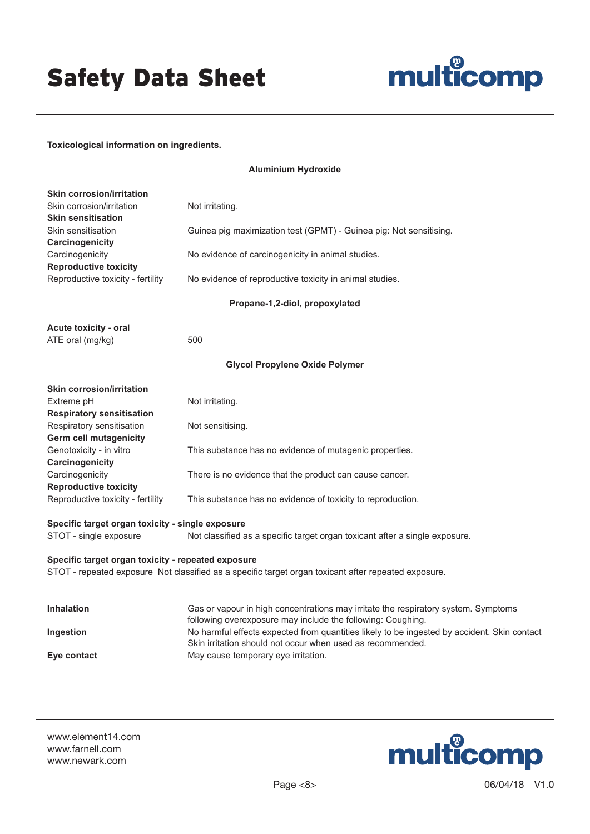# multicomp

### **Toxicological information on ingredients.**

| <b>Skin corrosion/irritation</b>                   |                                                                                                                                                   |
|----------------------------------------------------|---------------------------------------------------------------------------------------------------------------------------------------------------|
| Skin corrosion/irritation<br>Skin sensitisation    | Not irritating.                                                                                                                                   |
| Skin sensitisation                                 | Guinea pig maximization test (GPMT) - Guinea pig: Not sensitising.                                                                                |
| Carcinogenicity<br>Carcinogenicity                 | No evidence of carcinogenicity in animal studies.                                                                                                 |
| <b>Reproductive toxicity</b>                       |                                                                                                                                                   |
| Reproductive toxicity - fertility                  | No evidence of reproductive toxicity in animal studies.                                                                                           |
|                                                    | Propane-1,2-diol, propoxylated                                                                                                                    |
| <b>Acute toxicity - oral</b>                       |                                                                                                                                                   |
| ATE oral (mg/kg)                                   | 500                                                                                                                                               |
|                                                    | <b>Glycol Propylene Oxide Polymer</b>                                                                                                             |
| <b>Skin corrosion/irritation</b>                   |                                                                                                                                                   |
| Extreme pH                                         | Not irritating.                                                                                                                                   |
| <b>Respiratory sensitisation</b>                   |                                                                                                                                                   |
| Respiratory sensitisation                          | Not sensitising.                                                                                                                                  |
| Germ cell mutagenicity                             |                                                                                                                                                   |
| Genotoxicity - in vitro                            | This substance has no evidence of mutagenic properties.                                                                                           |
| Carcinogenicity                                    |                                                                                                                                                   |
| Carcinogenicity                                    | There is no evidence that the product can cause cancer.                                                                                           |
| <b>Reproductive toxicity</b>                       |                                                                                                                                                   |
| Reproductive toxicity - fertility                  | This substance has no evidence of toxicity to reproduction.                                                                                       |
| Specific target organ toxicity - single exposure   |                                                                                                                                                   |
| STOT - single exposure                             | Not classified as a specific target organ toxicant after a single exposure.                                                                       |
| Specific target organ toxicity - repeated exposure |                                                                                                                                                   |
|                                                    | STOT - repeated exposure Not classified as a specific target organ toxicant after repeated exposure.                                              |
|                                                    |                                                                                                                                                   |
| <b>Inhalation</b>                                  | Gas or vapour in high concentrations may irritate the respiratory system. Symptoms<br>following overexposure may include the following: Coughing. |
| Ingestion                                          | No harmful effects expected from quantities likely to be ingested by accident. Skin contact                                                       |
|                                                    | Skin irritation should not occur when used as recommended.                                                                                        |
| Eye contact                                        | May cause temporary eye irritation.                                                                                                               |

**Aluminium Hydroxide**

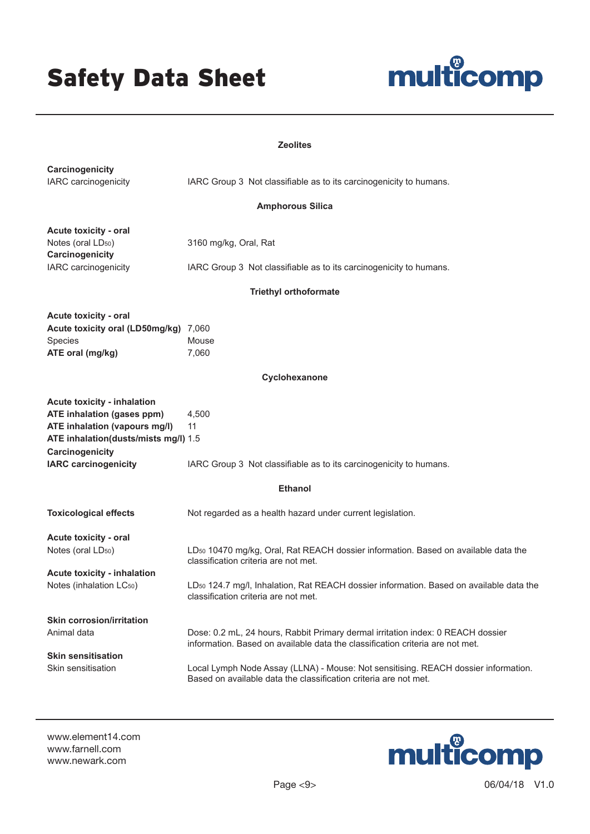

#### **Zeolites**

| Carcinogenicity<br>IARC carcinogenicity                                                                                                                                                     |                                                                                                                                                                                                                                                                                                                            |
|---------------------------------------------------------------------------------------------------------------------------------------------------------------------------------------------|----------------------------------------------------------------------------------------------------------------------------------------------------------------------------------------------------------------------------------------------------------------------------------------------------------------------------|
|                                                                                                                                                                                             | IARC Group 3 Not classifiable as to its carcinogenicity to humans.                                                                                                                                                                                                                                                         |
|                                                                                                                                                                                             | <b>Amphorous Silica</b>                                                                                                                                                                                                                                                                                                    |
| Acute toxicity - oral<br>Notes (oral LD <sub>50</sub> )<br>Carcinogenicity                                                                                                                  | 3160 mg/kg, Oral, Rat                                                                                                                                                                                                                                                                                                      |
| IARC carcinogenicity                                                                                                                                                                        | IARC Group 3 Not classifiable as to its carcinogenicity to humans.                                                                                                                                                                                                                                                         |
|                                                                                                                                                                                             | <b>Triethyl orthoformate</b>                                                                                                                                                                                                                                                                                               |
| Acute toxicity - oral<br>Acute toxicity oral (LD50mg/kg) 7,060<br>Species<br>ATE oral (mg/kg)                                                                                               | Mouse<br>7,060                                                                                                                                                                                                                                                                                                             |
|                                                                                                                                                                                             | Cyclohexanone                                                                                                                                                                                                                                                                                                              |
| <b>Acute toxicity - inhalation</b><br>ATE inhalation (gases ppm)<br>ATE inhalation (vapours mg/l)<br>ATE inhalation(dusts/mists mg/l) 1.5<br>Carcinogenicity<br><b>IARC carcinogenicity</b> | 4,500<br>11<br>IARC Group 3 Not classifiable as to its carcinogenicity to humans.                                                                                                                                                                                                                                          |
|                                                                                                                                                                                             | <b>Ethanol</b>                                                                                                                                                                                                                                                                                                             |
| <b>Toxicological effects</b>                                                                                                                                                                | Not regarded as a health hazard under current legislation.                                                                                                                                                                                                                                                                 |
| Acute toxicity - oral<br>Notes (oral LD <sub>50</sub> )<br>Acute toxicity - inhalation<br>Notes (inhalation LC50)                                                                           | LD <sub>50</sub> 10470 mg/kg, Oral, Rat REACH dossier information. Based on available data the<br>classification criteria are not met.<br>LD <sub>50</sub> 124.7 mg/l, Inhalation, Rat REACH dossier information. Based on available data the<br>classification criteria are not met.                                      |
| <b>Skin corrosion/irritation</b><br>Animal data<br><b>Skin sensitisation</b><br>Skin sensitisation                                                                                          | Dose: 0.2 mL, 24 hours, Rabbit Primary dermal irritation index: 0 REACH dossier<br>information. Based on available data the classification criteria are not met.<br>Local Lymph Node Assay (LLNA) - Mouse: Not sensitising. REACH dossier information.<br>Based on available data the classification criteria are not met. |

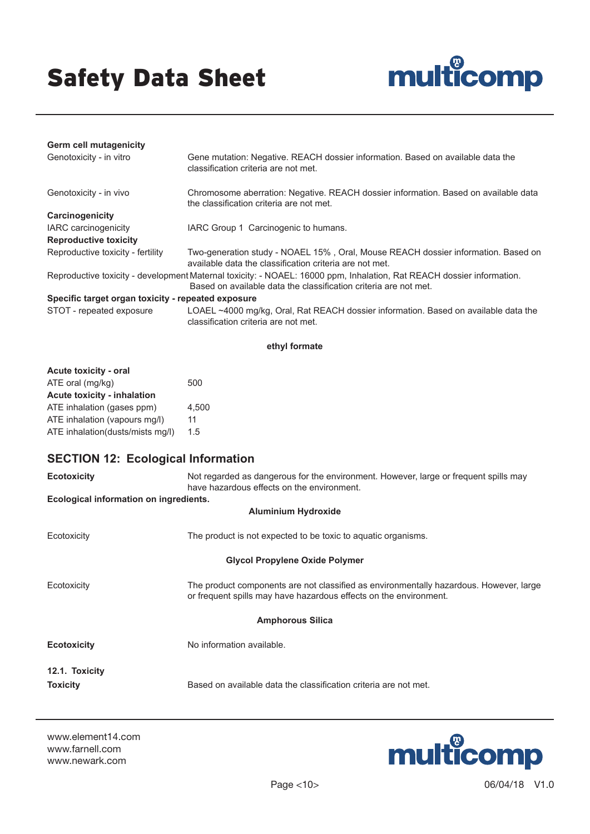

| <b>Germ cell mutagenicity</b>                      |                                                                                                                                                                                           |
|----------------------------------------------------|-------------------------------------------------------------------------------------------------------------------------------------------------------------------------------------------|
| Genotoxicity - in vitro                            | Gene mutation: Negative. REACH dossier information. Based on available data the<br>classification criteria are not met.                                                                   |
| Genotoxicity - in vivo                             | Chromosome aberration: Negative. REACH dossier information. Based on available data<br>the classification criteria are not met.                                                           |
| Carcinogenicity                                    |                                                                                                                                                                                           |
| <b>IARC</b> carcinogenicity                        | IARC Group 1 Carcinogenic to humans.                                                                                                                                                      |
| <b>Reproductive toxicity</b>                       |                                                                                                                                                                                           |
| Reproductive toxicity - fertility                  | Two-generation study - NOAEL 15%, Oral, Mouse REACH dossier information. Based on<br>available data the classification criteria are not met.                                              |
|                                                    | Reproductive toxicity - development Maternal toxicity: - NOAEL: 16000 ppm, Inhalation, Rat REACH dossier information.<br>Based on available data the classification criteria are not met. |
| Specific target organ toxicity - repeated exposure |                                                                                                                                                                                           |
| STOT - repeated exposure                           | LOAEL ~4000 mg/kg, Oral, Rat REACH dossier information. Based on available data the<br>classification criteria are not met.                                                               |

#### **ethyl formate**

| Acute toxicity - oral              |       |
|------------------------------------|-------|
| ATE oral (mg/kg)                   | 500   |
| <b>Acute toxicity - inhalation</b> |       |
| ATE inhalation (gases ppm)         | 4.500 |
| ATE inhalation (vapours mg/l)      | 11    |
| ATE inhalation(dusts/mists mg/l)   | 1.5   |

# **SECTION 12: Ecological Information**

| <b>Ecotoxicity</b>                     | Not regarded as dangerous for the environment. However, large or frequent spills may                                                                        |
|----------------------------------------|-------------------------------------------------------------------------------------------------------------------------------------------------------------|
|                                        | have hazardous effects on the environment.                                                                                                                  |
| Ecological information on ingredients. |                                                                                                                                                             |
|                                        | <b>Aluminium Hydroxide</b>                                                                                                                                  |
| Ecotoxicity                            | The product is not expected to be toxic to aquatic organisms.                                                                                               |
|                                        | <b>Glycol Propylene Oxide Polymer</b>                                                                                                                       |
| Ecotoxicity                            | The product components are not classified as environmentally hazardous. However, large<br>or frequent spills may have hazardous effects on the environment. |
|                                        | <b>Amphorous Silica</b>                                                                                                                                     |
| <b>Ecotoxicity</b>                     | No information available.                                                                                                                                   |
| 12.1. Toxicity                         |                                                                                                                                                             |
| <b>Toxicity</b>                        | Based on available data the classification criteria are not met.                                                                                            |

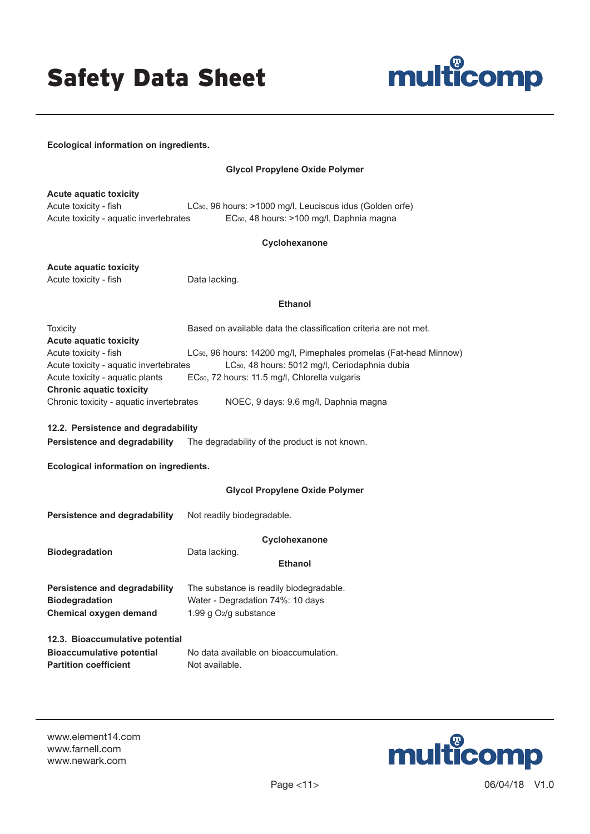

**Ecological information on ingredients.**

#### **Glycol Propylene Oxide Polymer**

**Acute aquatic toxicity**

Acute toxicity - fish LC<sub>50</sub>, 96 hours: >1000 mg/l, Leuciscus idus (Golden orfe) Acute toxicity - aquatic invertebrates EC<sub>50</sub>, 48 hours: >100 mg/l, Daphnia magna

### **Cyclohexanone**

**Acute aquatic toxicity** Acute toxicity - fish Data lacking.

#### **Ethanol**

Toxicity **Based on available data the classification criteria are not met. Acute aquatic toxicity** Acute toxicity - fish LC<sub>50</sub>, 96 hours: 14200 mg/l, Pimephales promelas (Fat-head Minnow) Acute toxicity - aquatic invertebrates LC<sub>50</sub>, 48 hours: 5012 mg/l, Ceriodaphnia dubia Acute toxicity - aquatic plants EC<sub>50</sub>, 72 hours: 11.5 mg/l, Chlorella vulgaris **Chronic aquatic toxicity** Chronic toxicity - aquatic invertebrates NOEC, 9 days: 9.6 mg/l, Daphnia magna

**12.2. Persistence and degradability**

**Persistence and degradability** The degradability of the product is not known.

**Ecological information on ingredients.**

#### **Glycol Propylene Oxide Polymer**

| Persistence and degradability                                                    | Not readily biodegradable.                                                                                             |
|----------------------------------------------------------------------------------|------------------------------------------------------------------------------------------------------------------------|
| <b>Biodegradation</b>                                                            | Cyclohexanone<br>Data lacking.<br><b>Ethanol</b>                                                                       |
| Persistence and degradability<br><b>Biodegradation</b><br>Chemical oxygen demand | The substance is readily biodegradable.<br>Water - Degradation 74%: 10 days<br>1.99 $q$ O <sub>2</sub> / $q$ substance |
| 12.3. Bioaccumulative potential<br><b>Bioaccumulative potential</b>              | No data available on bioaccumulation.                                                                                  |
| <b>Partition coefficient</b>                                                     | Not available.                                                                                                         |

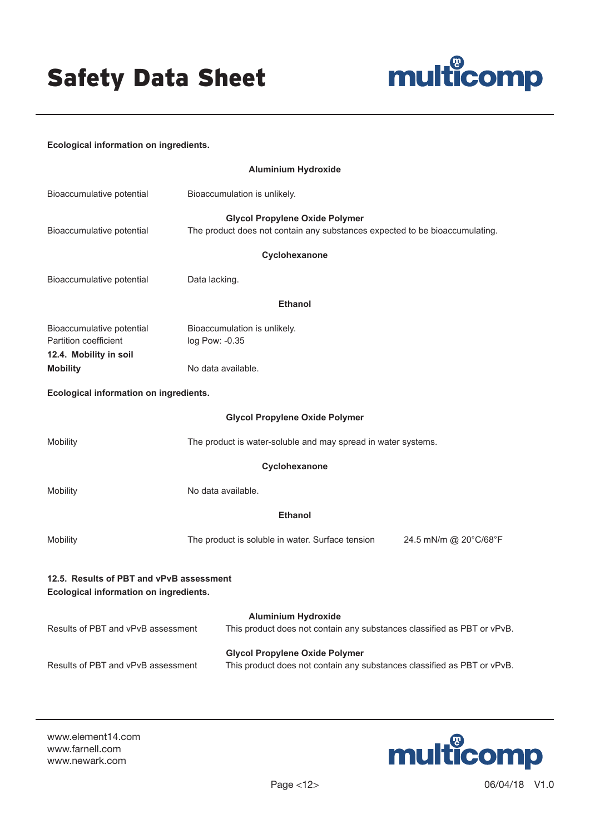

### **Ecological information on ingredients.**

| <b>Aluminium Hydroxide</b>                                                                                                                             |                                                                                                                      |  |
|--------------------------------------------------------------------------------------------------------------------------------------------------------|----------------------------------------------------------------------------------------------------------------------|--|
| Bioaccumulative potential                                                                                                                              | Bioaccumulation is unlikely.                                                                                         |  |
| Bioaccumulative potential                                                                                                                              | <b>Glycol Propylene Oxide Polymer</b><br>The product does not contain any substances expected to be bioaccumulating. |  |
|                                                                                                                                                        | Cyclohexanone                                                                                                        |  |
| Bioaccumulative potential                                                                                                                              | Data lacking.                                                                                                        |  |
|                                                                                                                                                        | <b>Ethanol</b>                                                                                                       |  |
| Bioaccumulative potential<br>Partition coefficient<br>12.4. Mobility in soil                                                                           | Bioaccumulation is unlikely.<br>log Pow: -0.35                                                                       |  |
| <b>Mobility</b>                                                                                                                                        | No data available.                                                                                                   |  |
| Ecological information on ingredients.                                                                                                                 |                                                                                                                      |  |
|                                                                                                                                                        | <b>Glycol Propylene Oxide Polymer</b>                                                                                |  |
| Mobility                                                                                                                                               | The product is water-soluble and may spread in water systems.                                                        |  |
|                                                                                                                                                        | Cyclohexanone                                                                                                        |  |
| Mobility                                                                                                                                               | No data available.                                                                                                   |  |
|                                                                                                                                                        | <b>Ethanol</b>                                                                                                       |  |
| Mobility                                                                                                                                               | The product is soluble in water. Surface tension<br>24.5 mN/m @ 20°C/68°F                                            |  |
| 12.5. Results of PBT and vPvB assessment<br>Ecological information on ingredients.                                                                     |                                                                                                                      |  |
| Results of PBT and vPvB assessment                                                                                                                     | <b>Aluminium Hydroxide</b><br>This product does not contain any substances classified as PBT or vPvB.                |  |
| <b>Glycol Propylene Oxide Polymer</b><br>Results of PBT and vPvB assessment<br>This product does not contain any substances classified as PBT or vPvB. |                                                                                                                      |  |

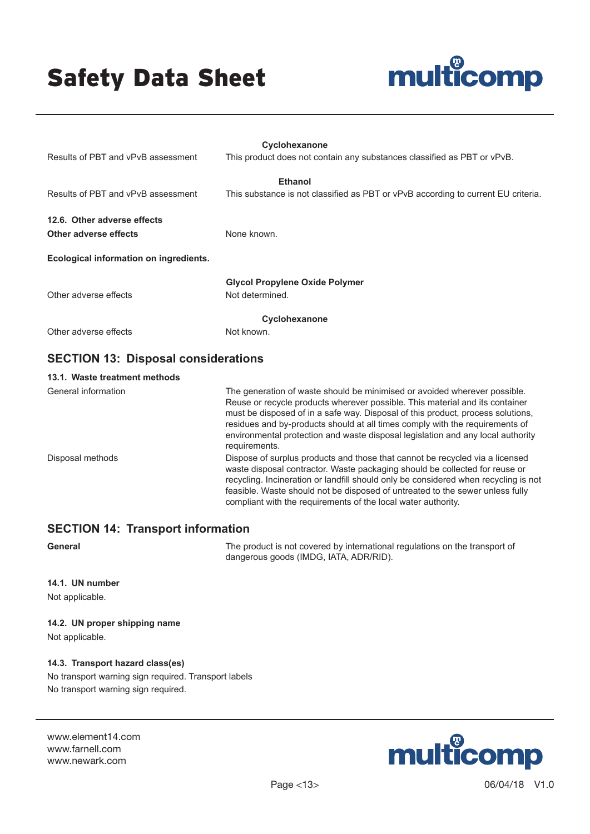

| Results of PBT and vPvB assessment                   | Cyclohexanone<br>This product does not contain any substances classified as PBT or vPvB.                                                                                                                                                                                                                                                                                                                                         |  |
|------------------------------------------------------|----------------------------------------------------------------------------------------------------------------------------------------------------------------------------------------------------------------------------------------------------------------------------------------------------------------------------------------------------------------------------------------------------------------------------------|--|
| Results of PBT and vPvB assessment                   | <b>Ethanol</b><br>This substance is not classified as PBT or vPvB according to current EU criteria.                                                                                                                                                                                                                                                                                                                              |  |
| 12.6. Other adverse effects<br>Other adverse effects | None known.                                                                                                                                                                                                                                                                                                                                                                                                                      |  |
| Ecological information on ingredients.               |                                                                                                                                                                                                                                                                                                                                                                                                                                  |  |
| Other adverse effects                                | <b>Glycol Propylene Oxide Polymer</b><br>Not determined.                                                                                                                                                                                                                                                                                                                                                                         |  |
| Cyclohexanone                                        |                                                                                                                                                                                                                                                                                                                                                                                                                                  |  |
| Other adverse effects                                | Not known.                                                                                                                                                                                                                                                                                                                                                                                                                       |  |
| <b>SECTION 13: Disposal considerations</b>           |                                                                                                                                                                                                                                                                                                                                                                                                                                  |  |
| 13.1. Waste treatment methods                        |                                                                                                                                                                                                                                                                                                                                                                                                                                  |  |
| General information                                  | The generation of waste should be minimised or avoided wherever possible.<br>Reuse or recycle products wherever possible. This material and its container<br>must be disposed of in a safe way. Disposal of this product, process solutions,<br>residues and by-products should at all times comply with the requirements of<br>environmental protection and waste disposal legislation and any local authority<br>requirements. |  |

Disposal methods **Dispose of surplus products and those that cannot be recycled via a licensed** waste disposal contractor. Waste packaging should be collected for reuse or recycling. Incineration or landfill should only be considered when recycling is not feasible. Waste should not be disposed of untreated to the sewer unless fully compliant with the requirements of the local water authority.

### **SECTION 14: Transport information**

**General General The product is not covered by international regulations on the transport of** dangerous goods (IMDG, IATA, ADR/RID).

#### **14.1. UN number**

Not applicable.

### **14.2. UN proper shipping name**

Not applicable.

#### **14.3. Transport hazard class(es)**

No transport warning sign required. Transport labels No transport warning sign required.

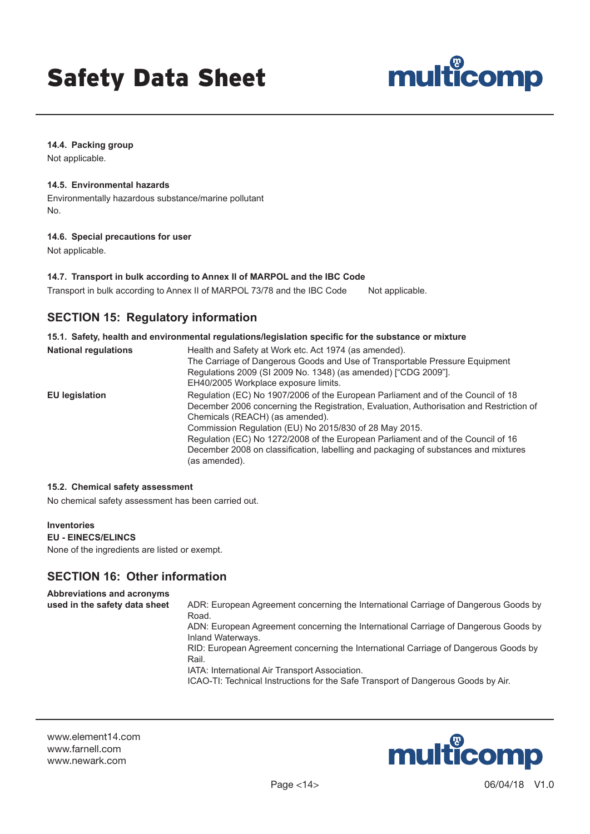

#### **14.4. Packing group**

Not applicable.

### **14.5. Environmental hazards**

Environmentally hazardous substance/marine pollutant No.

#### **14.6. Special precautions for user**

Not applicable.

#### **14.7. Transport in bulk according to Annex II of MARPOL and the IBC Code**

Transport in bulk according to Annex II of MARPOL 73/78 and the IBC Code Not applicable.

# **SECTION 15: Regulatory information**

### **15.1. Safety, health and environmental regulations/legislation specific for the substance or mixture National regulations** Health and Safety at Work etc. Act 1974 (as amended). The Carriage of Dangerous Goods and Use of Transportable Pressure Equipment Regulations 2009 (SI 2009 No. 1348) (as amended) ["CDG 2009"]. EH40/2005 Workplace exposure limits. **EU legislation** Regulation (EC) No 1907/2006 of the European Parliament and of the Council of 18 December 2006 concerning the Registration, Evaluation, Authorisation and Restriction of Chemicals (REACH) (as amended). Commission Regulation (EU) No 2015/830 of 28 May 2015.

Regulation (EC) No 1272/2008 of the European Parliament and of the Council of 16 December 2008 on classification, labelling and packaging of substances and mixtures (as amended).

#### **15.2. Chemical safety assessment**

No chemical safety assessment has been carried out.

#### **Inventories**

**EU - EINECS/ELINCS**

None of the ingredients are listed or exempt.

# **SECTION 16: Other information**

#### **Abbreviations and acronyms used in the safety data sheet** ADR: European Agreement concerning the International Carriage of Dangerous Goods by Road. ADN: European Agreement concerning the International Carriage of Dangerous Goods by Inland Waterways. RID: European Agreement concerning the International Carriage of Dangerous Goods by Rail. IATA: International Air Transport Association.

ICAO-TI: Technical Instructions for the Safe Transport of Dangerous Goods by Air.

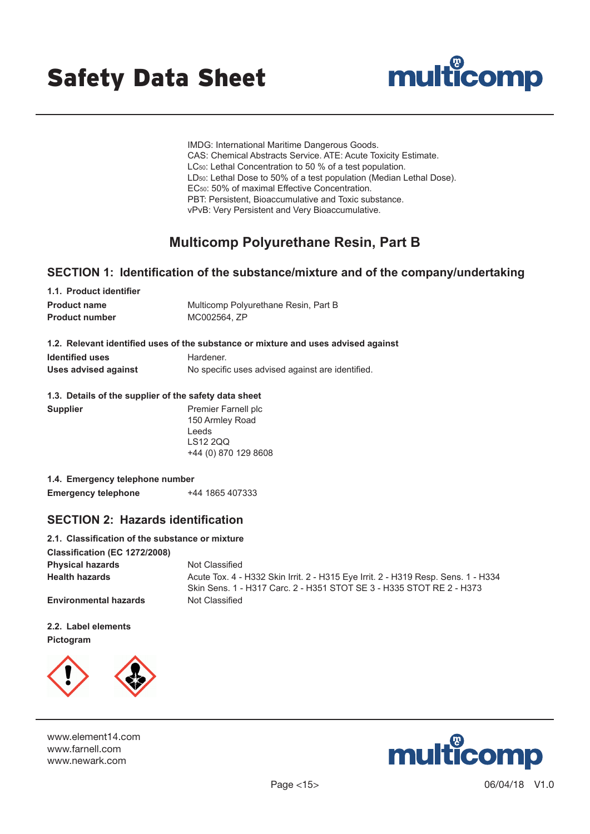



IMDG: International Maritime Dangerous Goods. CAS: Chemical Abstracts Service. ATE: Acute Toxicity Estimate. LC<sub>50</sub>: Lethal Concentration to 50 % of a test population. LD50: Lethal Dose to 50% of a test population (Median Lethal Dose). EC50: 50% of maximal Effective Concentration. PBT: Persistent, Bioaccumulative and Toxic substance. vPvB: Very Persistent and Very Bioaccumulative.

# **Multicomp Polyurethane Resin, Part B**

### **SECTION 1: Identification of the substance/mixture and of the company/undertaking**

| 1.1. Product identifier |                                      |
|-------------------------|--------------------------------------|
| <b>Product name</b>     | Multicomp Polyurethane Resin, Part B |
| <b>Product number</b>   | MC002564. ZP                         |
|                         |                                      |

|  | 1.2. Relevant identified uses of the substance or mixture and uses advised against |  |  |  |  |  |  |
|--|------------------------------------------------------------------------------------|--|--|--|--|--|--|
|--|------------------------------------------------------------------------------------|--|--|--|--|--|--|

| <b>Identified uses</b> | Hardener.                                        |
|------------------------|--------------------------------------------------|
| Uses advised against   | No specific uses advised against are identified. |

### **1.3. Details of the supplier of the safety data sheet**

| <b>Supplier</b> | Premier Farnell plc  |
|-----------------|----------------------|
|                 | 150 Armley Road      |
|                 | Leeds                |
|                 | LS12 200             |
|                 | +44 (0) 870 129 8608 |
|                 |                      |

| 1.4. Emergency telephone number |                 |
|---------------------------------|-----------------|
| <b>Emergency telephone</b>      | +44 1865 407333 |

### **SECTION 2: Hazards identification**

| 2.1. Classification of the substance or mixture |                                                                                                                                                           |
|-------------------------------------------------|-----------------------------------------------------------------------------------------------------------------------------------------------------------|
| Classification (EC 1272/2008)                   |                                                                                                                                                           |
| <b>Physical hazards</b>                         | Not Classified                                                                                                                                            |
| <b>Health hazards</b>                           | Acute Tox. 4 - H332 Skin Irrit. 2 - H315 Eye Irrit. 2 - H319 Resp. Sens. 1 - H334<br>Skin Sens. 1 - H317 Carc. 2 - H351 STOT SE 3 - H335 STOT RE 2 - H373 |
| <b>Environmental hazards</b>                    | Not Classified                                                                                                                                            |

**2.2. Label elements Pictogram**



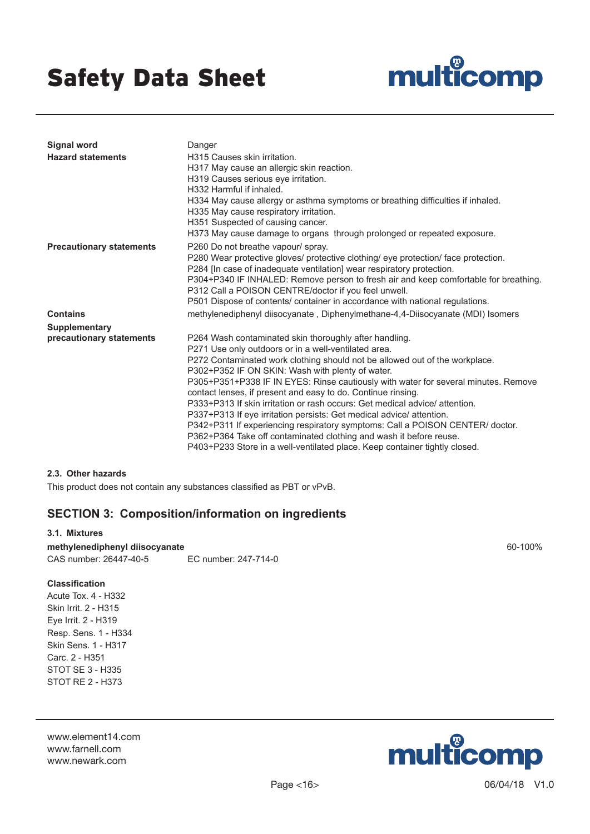

| <b>Signal word</b><br><b>Hazard statements</b> | Danger<br>H315 Causes skin irritation.<br>H317 May cause an allergic skin reaction.<br>H319 Causes serious eye irritation.<br>H332 Harmful if inhaled.<br>H334 May cause allergy or asthma symptoms or breathing difficulties if inhaled.<br>H335 May cause respiratory irritation.<br>H351 Suspected of causing cancer.<br>H373 May cause damage to organs through prolonged or repeated exposure.                                                                                                                                                                                                                                                                                                                                                                                                 |
|------------------------------------------------|-----------------------------------------------------------------------------------------------------------------------------------------------------------------------------------------------------------------------------------------------------------------------------------------------------------------------------------------------------------------------------------------------------------------------------------------------------------------------------------------------------------------------------------------------------------------------------------------------------------------------------------------------------------------------------------------------------------------------------------------------------------------------------------------------------|
| <b>Precautionary statements</b>                | P260 Do not breathe vapour/ spray.<br>P280 Wear protective gloves/ protective clothing/ eye protection/ face protection.<br>P284 [In case of inadequate ventilation] wear respiratory protection.<br>P304+P340 IF INHALED: Remove person to fresh air and keep comfortable for breathing.<br>P312 Call a POISON CENTRE/doctor if you feel unwell.<br>P501 Dispose of contents/ container in accordance with national regulations.                                                                                                                                                                                                                                                                                                                                                                   |
| <b>Contains</b>                                | methylenediphenyl diisocyanate, Diphenylmethane-4,4-Diisocyanate (MDI) Isomers                                                                                                                                                                                                                                                                                                                                                                                                                                                                                                                                                                                                                                                                                                                      |
| Supplementary                                  |                                                                                                                                                                                                                                                                                                                                                                                                                                                                                                                                                                                                                                                                                                                                                                                                     |
| precautionary statements                       | P264 Wash contaminated skin thoroughly after handling.<br>P271 Use only outdoors or in a well-ventilated area.<br>P272 Contaminated work clothing should not be allowed out of the workplace.<br>P302+P352 IF ON SKIN: Wash with plenty of water.<br>P305+P351+P338 IF IN EYES: Rinse cautiously with water for several minutes. Remove<br>contact lenses, if present and easy to do. Continue rinsing.<br>P333+P313 If skin irritation or rash occurs: Get medical advice/ attention.<br>P337+P313 If eye irritation persists: Get medical advice/ attention.<br>P342+P311 If experiencing respiratory symptoms: Call a POISON CENTER/ doctor.<br>P362+P364 Take off contaminated clothing and wash it before reuse.<br>P403+P233 Store in a well-ventilated place. Keep container tightly closed. |

### **2.3. Other hazards**

This product does not contain any substances classified as PBT or vPvB.

### **SECTION 3: Composition/information on ingredients**

### **3.1. Mixtures methylenediphenyl diisocyanate** 60-100% CAS number: 26447-40-5 EC number: 247-714-0

### **Classification**

Acute Tox. 4 - H332 Skin Irrit. 2 - H315 Eye Irrit. 2 - H319 Resp. Sens. 1 - H334 Skin Sens. 1 - H317 Carc. 2 - H351 STOT SE 3 - H335 STOT RE 2 - H373

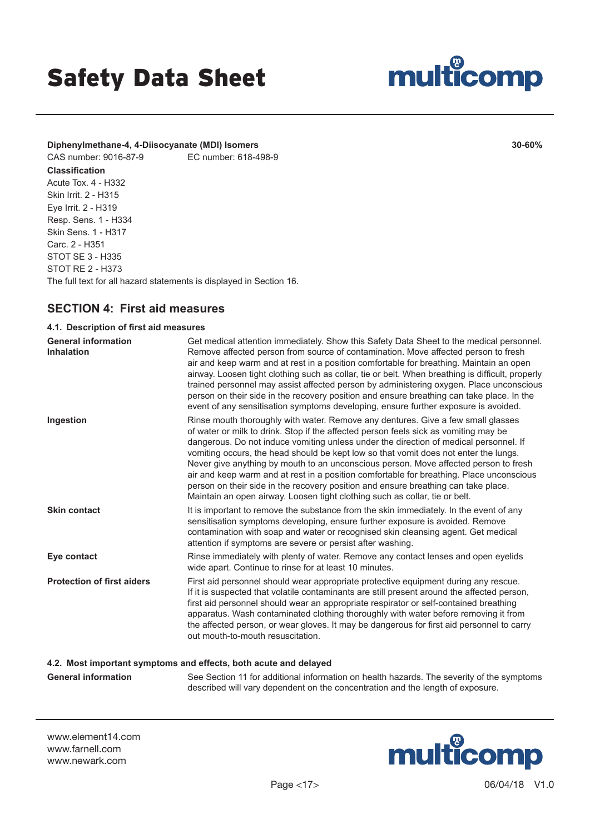

### **Diphenylmethane-4, 4-Diisocyanate (MDI) Isomers 30-60%**

### CAS number: 9016-87-9 EC number: 618-498-9

**Classification** Acute Tox. 4 - H332 Skin Irrit. 2 - H315 Eye Irrit. 2 - H319 Resp. Sens. 1 - H334 Skin Sens. 1 - H317 Carc. 2 - H351 STOT SE 3 - H335 STOT RE 2 - H373 The full text for all hazard statements is displayed in Section 16.

# **SECTION 4: First aid measures**

### **4.1. Description of first aid measures**

| <b>General information</b><br><b>Inhalation</b> | Get medical attention immediately. Show this Safety Data Sheet to the medical personnel.<br>Remove affected person from source of contamination. Move affected person to fresh<br>air and keep warm and at rest in a position comfortable for breathing. Maintain an open<br>airway. Loosen tight clothing such as collar, tie or belt. When breathing is difficult, properly<br>trained personnel may assist affected person by administering oxygen. Place unconscious<br>person on their side in the recovery position and ensure breathing can take place. In the<br>event of any sensitisation symptoms developing, ensure further exposure is avoided.                                                       |
|-------------------------------------------------|--------------------------------------------------------------------------------------------------------------------------------------------------------------------------------------------------------------------------------------------------------------------------------------------------------------------------------------------------------------------------------------------------------------------------------------------------------------------------------------------------------------------------------------------------------------------------------------------------------------------------------------------------------------------------------------------------------------------|
| Ingestion                                       | Rinse mouth thoroughly with water. Remove any dentures. Give a few small glasses<br>of water or milk to drink. Stop if the affected person feels sick as vomiting may be<br>dangerous. Do not induce vomiting unless under the direction of medical personnel. If<br>vomiting occurs, the head should be kept low so that vomit does not enter the lungs.<br>Never give anything by mouth to an unconscious person. Move affected person to fresh<br>air and keep warm and at rest in a position comfortable for breathing. Place unconscious<br>person on their side in the recovery position and ensure breathing can take place.<br>Maintain an open airway. Loosen tight clothing such as collar, tie or belt. |
| <b>Skin contact</b>                             | It is important to remove the substance from the skin immediately. In the event of any<br>sensitisation symptoms developing, ensure further exposure is avoided. Remove<br>contamination with soap and water or recognised skin cleansing agent. Get medical<br>attention if symptoms are severe or persist after washing.                                                                                                                                                                                                                                                                                                                                                                                         |
| Eye contact                                     | Rinse immediately with plenty of water. Remove any contact lenses and open eyelids<br>wide apart. Continue to rinse for at least 10 minutes.                                                                                                                                                                                                                                                                                                                                                                                                                                                                                                                                                                       |
| <b>Protection of first aiders</b>               | First aid personnel should wear appropriate protective equipment during any rescue.<br>If it is suspected that volatile contaminants are still present around the affected person,<br>first aid personnel should wear an appropriate respirator or self-contained breathing<br>apparatus. Wash contaminated clothing thoroughly with water before removing it from<br>the affected person, or wear gloves. It may be dangerous for first aid personnel to carry<br>out mouth-to-mouth resuscitation.                                                                                                                                                                                                               |
|                                                 | 4.2. Most important symptoms and effects, both acute and delayed                                                                                                                                                                                                                                                                                                                                                                                                                                                                                                                                                                                                                                                   |

**General information** See Section 11 for additional information on health hazards. The severity of the symptoms described will vary dependent on the concentration and the length of exposure.

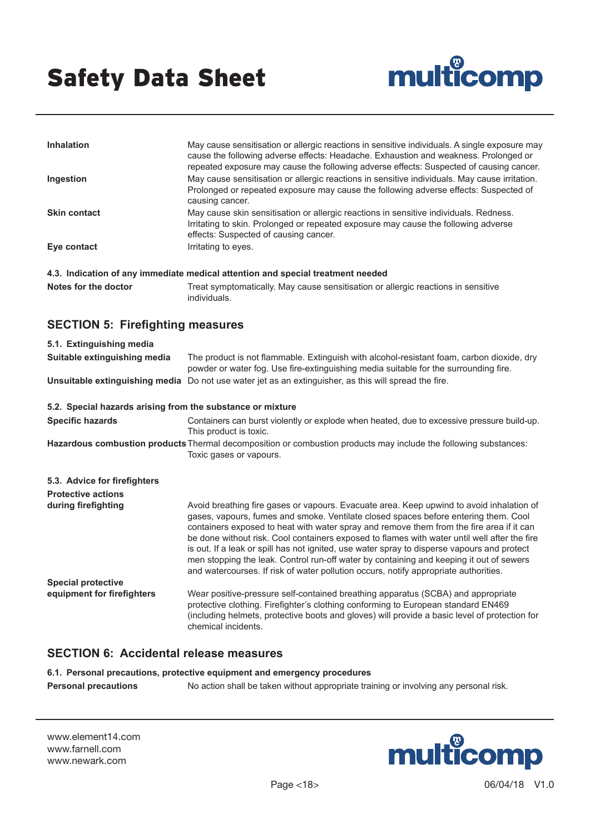

| <b>Inhalation</b>                                                               | May cause sensitisation or allergic reactions in sensitive individuals. A single exposure may<br>cause the following adverse effects: Headache. Exhaustion and weakness. Prolonged or<br>repeated exposure may cause the following adverse effects: Suspected of causing cancer. |
|---------------------------------------------------------------------------------|----------------------------------------------------------------------------------------------------------------------------------------------------------------------------------------------------------------------------------------------------------------------------------|
| Ingestion                                                                       | May cause sensitisation or allergic reactions in sensitive individuals. May cause irritation.<br>Prolonged or repeated exposure may cause the following adverse effects: Suspected of<br>causing cancer.                                                                         |
| <b>Skin contact</b>                                                             | May cause skin sensitisation or allergic reactions in sensitive individuals. Redness.<br>Irritating to skin. Prolonged or repeated exposure may cause the following adverse<br>effects: Suspected of causing cancer.                                                             |
| Eye contact                                                                     | Irritating to eyes.                                                                                                                                                                                                                                                              |
| 4.3. Indication of any immediate medical attention and special treatment needed |                                                                                                                                                                                                                                                                                  |

Notes for the doctor Treat symptomatically. May cause sensitisation or allergic reactions in sensitive individuals.

# **SECTION 5: Firefighting measures**

| 5.1. Extinguishing media                                   |                                                                                                                                                                                                                                                                                                                                                                                                                                                                                                                                                                                                                                                               |
|------------------------------------------------------------|---------------------------------------------------------------------------------------------------------------------------------------------------------------------------------------------------------------------------------------------------------------------------------------------------------------------------------------------------------------------------------------------------------------------------------------------------------------------------------------------------------------------------------------------------------------------------------------------------------------------------------------------------------------|
| Suitable extinguishing media                               | The product is not flammable. Extinguish with alcohol-resistant foam, carbon dioxide, dry<br>powder or water fog. Use fire-extinguishing media suitable for the surrounding fire.                                                                                                                                                                                                                                                                                                                                                                                                                                                                             |
|                                                            | Unsuitable extinguishing media Do not use water jet as an extinguisher, as this will spread the fire.                                                                                                                                                                                                                                                                                                                                                                                                                                                                                                                                                         |
| 5.2. Special hazards arising from the substance or mixture |                                                                                                                                                                                                                                                                                                                                                                                                                                                                                                                                                                                                                                                               |
| <b>Specific hazards</b>                                    | Containers can burst violently or explode when heated, due to excessive pressure build-up.<br>This product is toxic.                                                                                                                                                                                                                                                                                                                                                                                                                                                                                                                                          |
|                                                            | Hazardous combustion products Thermal decomposition or combustion products may include the following substances:<br>Toxic gases or vapours.                                                                                                                                                                                                                                                                                                                                                                                                                                                                                                                   |
| 5.3. Advice for firefighters                               |                                                                                                                                                                                                                                                                                                                                                                                                                                                                                                                                                                                                                                                               |
| <b>Protective actions</b>                                  |                                                                                                                                                                                                                                                                                                                                                                                                                                                                                                                                                                                                                                                               |
| during firefighting                                        | Avoid breathing fire gases or vapours. Evacuate area. Keep upwind to avoid inhalation of<br>gases, vapours, fumes and smoke. Ventilate closed spaces before entering them. Cool<br>containers exposed to heat with water spray and remove them from the fire area if it can<br>be done without risk. Cool containers exposed to flames with water until well after the fire<br>is out. If a leak or spill has not ignited, use water spray to disperse vapours and protect<br>men stopping the leak. Control run-off water by containing and keeping it out of sewers<br>and watercourses. If risk of water pollution occurs, notify appropriate authorities. |
| <b>Special protective</b>                                  |                                                                                                                                                                                                                                                                                                                                                                                                                                                                                                                                                                                                                                                               |
| equipment for firefighters                                 | Wear positive-pressure self-contained breathing apparatus (SCBA) and appropriate<br>protective clothing. Firefighter's clothing conforming to European standard EN469<br>(including helmets, protective boots and gloves) will provide a basic level of protection for<br>chemical incidents.                                                                                                                                                                                                                                                                                                                                                                 |

# **SECTION 6: Accidental release measures**

**6.1. Personal precautions, protective equipment and emergency procedures**

**Personal precautions** No action shall be taken without appropriate training or involving any personal risk.

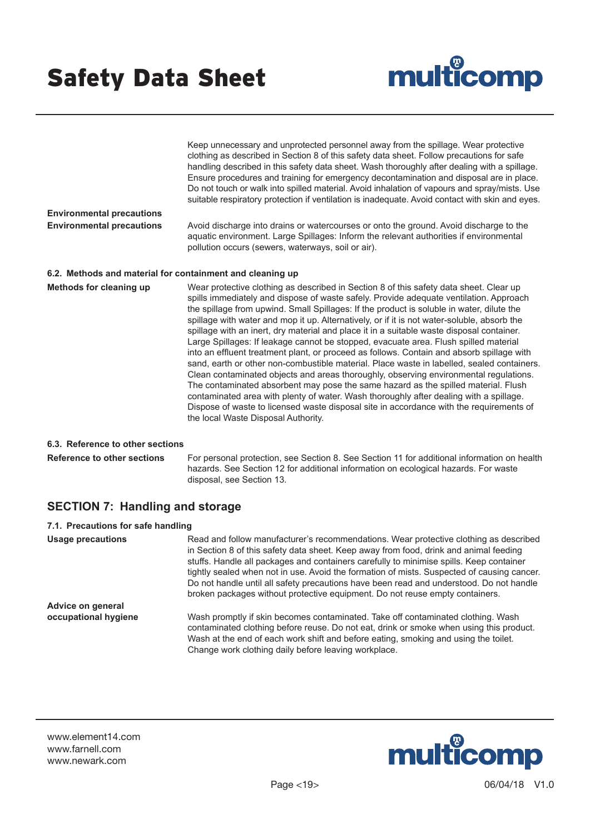

|                                                           | Keep unnecessary and unprotected personnel away from the spillage. Wear protective<br>clothing as described in Section 8 of this safety data sheet. Follow precautions for safe<br>handling described in this safety data sheet. Wash thoroughly after dealing with a spillage.<br>Ensure procedures and training for emergency decontamination and disposal are in place.<br>Do not touch or walk into spilled material. Avoid inhalation of vapours and spray/mists. Use<br>suitable respiratory protection if ventilation is inadequate. Avoid contact with skin and eyes.                                                                                                                                                                                                                                                                                                                                                                                                                                                                                                                                                                                           |
|-----------------------------------------------------------|-------------------------------------------------------------------------------------------------------------------------------------------------------------------------------------------------------------------------------------------------------------------------------------------------------------------------------------------------------------------------------------------------------------------------------------------------------------------------------------------------------------------------------------------------------------------------------------------------------------------------------------------------------------------------------------------------------------------------------------------------------------------------------------------------------------------------------------------------------------------------------------------------------------------------------------------------------------------------------------------------------------------------------------------------------------------------------------------------------------------------------------------------------------------------|
| <b>Environmental precautions</b>                          |                                                                                                                                                                                                                                                                                                                                                                                                                                                                                                                                                                                                                                                                                                                                                                                                                                                                                                                                                                                                                                                                                                                                                                         |
| <b>Environmental precautions</b>                          | Avoid discharge into drains or watercourses or onto the ground. Avoid discharge to the<br>aquatic environment. Large Spillages: Inform the relevant authorities if environmental<br>pollution occurs (sewers, waterways, soil or air).                                                                                                                                                                                                                                                                                                                                                                                                                                                                                                                                                                                                                                                                                                                                                                                                                                                                                                                                  |
| 6.2. Methods and material for containment and cleaning up |                                                                                                                                                                                                                                                                                                                                                                                                                                                                                                                                                                                                                                                                                                                                                                                                                                                                                                                                                                                                                                                                                                                                                                         |
| Methods for cleaning up                                   | Wear protective clothing as described in Section 8 of this safety data sheet. Clear up<br>spills immediately and dispose of waste safely. Provide adequate ventilation. Approach<br>the spillage from upwind. Small Spillages: If the product is soluble in water, dilute the<br>spillage with water and mop it up. Alternatively, or if it is not water-soluble, absorb the<br>spillage with an inert, dry material and place it in a suitable waste disposal container.<br>Large Spillages: If leakage cannot be stopped, evacuate area. Flush spilled material<br>into an effluent treatment plant, or proceed as follows. Contain and absorb spillage with<br>sand, earth or other non-combustible material. Place waste in labelled, sealed containers.<br>Clean contaminated objects and areas thoroughly, observing environmental regulations.<br>The contaminated absorbent may pose the same hazard as the spilled material. Flush<br>contaminated area with plenty of water. Wash thoroughly after dealing with a spillage.<br>Dispose of waste to licensed waste disposal site in accordance with the requirements of<br>the local Waste Disposal Authority. |
| 6.3 Peference to other coetions                           |                                                                                                                                                                                                                                                                                                                                                                                                                                                                                                                                                                                                                                                                                                                                                                                                                                                                                                                                                                                                                                                                                                                                                                         |

**6.3. Reference to other sections**

**Reference to other sections** For personal protection, see Section 8. See Section 11 for additional information on health hazards. See Section 12 for additional information on ecological hazards. For waste disposal, see Section 13.

# **SECTION 7: Handling and storage**

| 7.1. Precautions for safe handling |                                                                                                                                                                                                                                                                                                                                                                                                                                                                                                                                                    |
|------------------------------------|----------------------------------------------------------------------------------------------------------------------------------------------------------------------------------------------------------------------------------------------------------------------------------------------------------------------------------------------------------------------------------------------------------------------------------------------------------------------------------------------------------------------------------------------------|
| Usage precautions                  | Read and follow manufacturer's recommendations. Wear protective clothing as described<br>in Section 8 of this safety data sheet. Keep away from food, drink and animal feeding<br>stuffs. Handle all packages and containers carefully to minimise spills. Keep container<br>tightly sealed when not in use. Avoid the formation of mists. Suspected of causing cancer.<br>Do not handle until all safety precautions have been read and understood. Do not handle<br>broken packages without protective equipment. Do not reuse empty containers. |
| Advice on general                  |                                                                                                                                                                                                                                                                                                                                                                                                                                                                                                                                                    |
| occupational hygiene               | Wash promptly if skin becomes contaminated. Take off contaminated clothing. Wash<br>contaminated clothing before reuse. Do not eat, drink or smoke when using this product.<br>Wash at the end of each work shift and before eating, smoking and using the toilet.<br>Change work clothing daily before leaving workplace.                                                                                                                                                                                                                         |

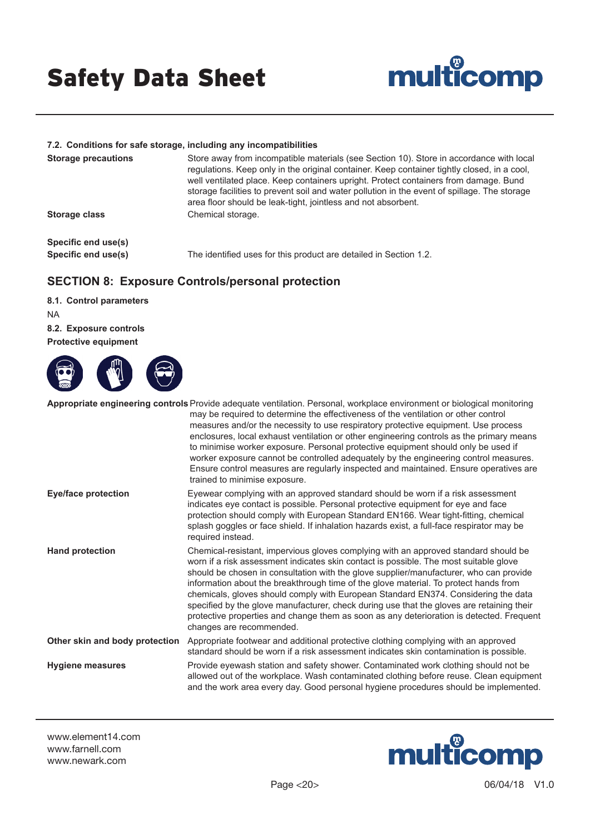

#### **7.2. Conditions for safe storage, including any incompatibilities**

| <b>Storage precautions</b> | Store away from incompatible materials (see Section 10). Store in accordance with local<br>regulations. Keep only in the original container. Keep container tightly closed, in a cool,<br>well ventilated place. Keep containers upright. Protect containers from damage. Bund<br>storage facilities to prevent soil and water pollution in the event of spillage. The storage<br>area floor should be leak-tight, jointless and not absorbent. |
|----------------------------|-------------------------------------------------------------------------------------------------------------------------------------------------------------------------------------------------------------------------------------------------------------------------------------------------------------------------------------------------------------------------------------------------------------------------------------------------|
| <b>Storage class</b>       | Chemical storage.                                                                                                                                                                                                                                                                                                                                                                                                                               |
| Specific end use(s)        |                                                                                                                                                                                                                                                                                                                                                                                                                                                 |
| Specific end use(s)        | The identified uses for this product are detailed in Section 1.2.                                                                                                                                                                                                                                                                                                                                                                               |

# **SECTION 8: Exposure Controls/personal protection**

**8.1. Control parameters** NA **8.2. Exposure controls Protective equipment**



|                                | <b>Appropriate engineering controls</b> Provide adequate ventilation. Personal, workplace environment or biological monitoring<br>may be required to determine the effectiveness of the ventilation or other control<br>measures and/or the necessity to use respiratory protective equipment. Use process<br>enclosures, local exhaust ventilation or other engineering controls as the primary means<br>to minimise worker exposure. Personal protective equipment should only be used if<br>worker exposure cannot be controlled adequately by the engineering control measures.<br>Ensure control measures are regularly inspected and maintained. Ensure operatives are<br>trained to minimise exposure. |
|--------------------------------|---------------------------------------------------------------------------------------------------------------------------------------------------------------------------------------------------------------------------------------------------------------------------------------------------------------------------------------------------------------------------------------------------------------------------------------------------------------------------------------------------------------------------------------------------------------------------------------------------------------------------------------------------------------------------------------------------------------|
| <b>Eye/face protection</b>     | Eyewear complying with an approved standard should be worn if a risk assessment<br>indicates eye contact is possible. Personal protective equipment for eye and face<br>protection should comply with European Standard EN166. Wear tight-fitting, chemical<br>splash goggles or face shield. If inhalation hazards exist, a full-face respirator may be<br>required instead.                                                                                                                                                                                                                                                                                                                                 |
| <b>Hand protection</b>         | Chemical-resistant, impervious gloves complying with an approved standard should be<br>worn if a risk assessment indicates skin contact is possible. The most suitable glove<br>should be chosen in consultation with the glove supplier/manufacturer, who can provide<br>information about the breakthrough time of the glove material. To protect hands from<br>chemicals, gloves should comply with European Standard EN374. Considering the data<br>specified by the glove manufacturer, check during use that the gloves are retaining their<br>protective properties and change them as soon as any deterioration is detected. Frequent<br>changes are recommended.                                     |
| Other skin and body protection | Appropriate footwear and additional protective clothing complying with an approved<br>standard should be worn if a risk assessment indicates skin contamination is possible.                                                                                                                                                                                                                                                                                                                                                                                                                                                                                                                                  |
| <b>Hygiene measures</b>        | Provide eyewash station and safety shower. Contaminated work clothing should not be<br>allowed out of the workplace. Wash contaminated clothing before reuse. Clean equipment<br>and the work area every day. Good personal hygiene procedures should be implemented.                                                                                                                                                                                                                                                                                                                                                                                                                                         |

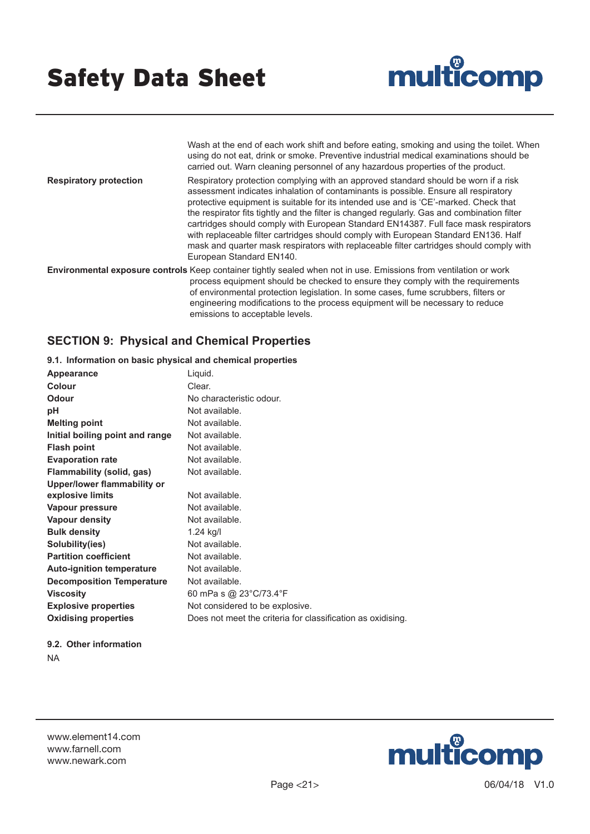

Wash at the end of each work shift and before eating, smoking and using the toilet. When using do not eat, drink or smoke. Preventive industrial medical examinations should be carried out. Warn cleaning personnel of any hazardous properties of the product.

**Respiratory protection** Respiratory protection complying with an approved standard should be worn if a risk assessment indicates inhalation of contaminants is possible. Ensure all respiratory protective equipment is suitable for its intended use and is 'CE'-marked. Check that the respirator fits tightly and the filter is changed regularly. Gas and combination filter cartridges should comply with European Standard EN14387. Full face mask respirators with replaceable filter cartridges should comply with European Standard EN136. Half mask and quarter mask respirators with replaceable filter cartridges should comply with European Standard EN140.

**Environmental exposure controls** Keep container tightly sealed when not in use. Emissions from ventilation or work process equipment should be checked to ensure they comply with the requirements of environmental protection legislation. In some cases, fume scrubbers, filters or engineering modifications to the process equipment will be necessary to reduce emissions to acceptable levels.

# **SECTION 9: Physical and Chemical Properties**

**9.1. Information on basic physical and chemical properties**

| Clear.<br>No characteristic odour.<br>Not available.<br>Not available.<br>Not available.<br>Not available.<br>Not available.<br>Not available.<br>Not available.<br>Not available.<br>Not available.<br>$1.24$ kg/l<br>Not available.<br>Not available.<br>Not available.<br>Not available.<br>60 mPa s @ 23°C/73.4°F<br>Not considered to be explosive. | Appearance                       | Liquid.                                                     |
|----------------------------------------------------------------------------------------------------------------------------------------------------------------------------------------------------------------------------------------------------------------------------------------------------------------------------------------------------------|----------------------------------|-------------------------------------------------------------|
|                                                                                                                                                                                                                                                                                                                                                          | Colour                           |                                                             |
|                                                                                                                                                                                                                                                                                                                                                          | Odour                            |                                                             |
|                                                                                                                                                                                                                                                                                                                                                          | рH                               |                                                             |
|                                                                                                                                                                                                                                                                                                                                                          | <b>Melting point</b>             |                                                             |
|                                                                                                                                                                                                                                                                                                                                                          | Initial boiling point and range  |                                                             |
|                                                                                                                                                                                                                                                                                                                                                          | <b>Flash point</b>               |                                                             |
|                                                                                                                                                                                                                                                                                                                                                          | <b>Evaporation rate</b>          |                                                             |
|                                                                                                                                                                                                                                                                                                                                                          | Flammability (solid, gas)        |                                                             |
|                                                                                                                                                                                                                                                                                                                                                          | Upper/lower flammability or      |                                                             |
|                                                                                                                                                                                                                                                                                                                                                          | explosive limits                 |                                                             |
|                                                                                                                                                                                                                                                                                                                                                          | Vapour pressure                  |                                                             |
|                                                                                                                                                                                                                                                                                                                                                          | Vapour density                   |                                                             |
|                                                                                                                                                                                                                                                                                                                                                          | <b>Bulk density</b>              |                                                             |
|                                                                                                                                                                                                                                                                                                                                                          | Solubility(ies)                  |                                                             |
|                                                                                                                                                                                                                                                                                                                                                          | <b>Partition coefficient</b>     |                                                             |
|                                                                                                                                                                                                                                                                                                                                                          | <b>Auto-ignition temperature</b> |                                                             |
|                                                                                                                                                                                                                                                                                                                                                          | <b>Decomposition Temperature</b> |                                                             |
|                                                                                                                                                                                                                                                                                                                                                          | <b>Viscosity</b>                 |                                                             |
|                                                                                                                                                                                                                                                                                                                                                          | <b>Explosive properties</b>      |                                                             |
|                                                                                                                                                                                                                                                                                                                                                          | <b>Oxidising properties</b>      | Does not meet the criteria for classification as oxidising. |

#### **9.2. Other information** NA

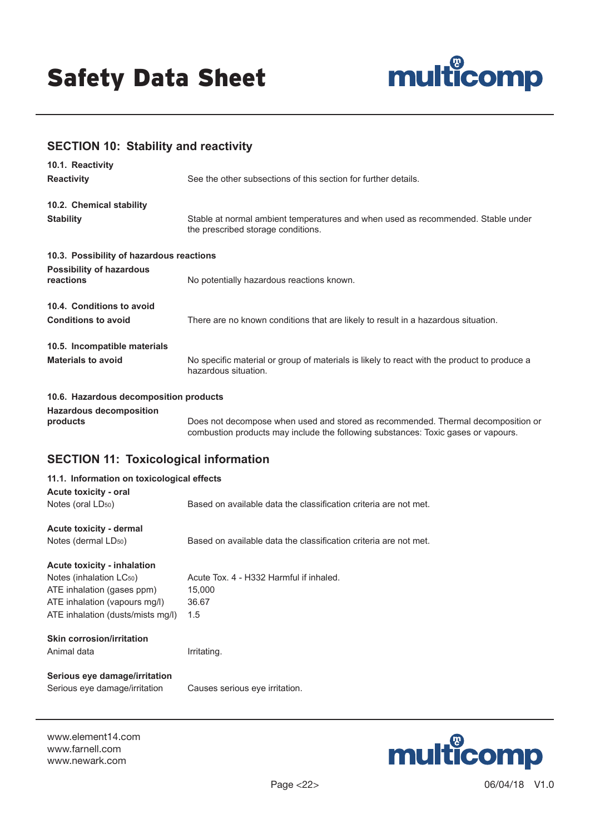

# **SECTION 10: Stability and reactivity**

| 10.1. Reactivity<br><b>Reactivity</b>                               | See the other subsections of this section for further details.                                                                                                        |
|---------------------------------------------------------------------|-----------------------------------------------------------------------------------------------------------------------------------------------------------------------|
| 10.2. Chemical stability<br><b>Stability</b>                        | Stable at normal ambient temperatures and when used as recommended. Stable under<br>the prescribed storage conditions.                                                |
| 10.3. Possibility of hazardous reactions                            |                                                                                                                                                                       |
| <b>Possibility of hazardous</b><br>reactions                        | No potentially hazardous reactions known.                                                                                                                             |
| 10.4. Conditions to avoid<br><b>Conditions to avoid</b>             | There are no known conditions that are likely to result in a hazardous situation.                                                                                     |
| 10.5. Incompatible materials<br><b>Materials to avoid</b>           | No specific material or group of materials is likely to react with the product to produce a<br>hazardous situation.                                                   |
| 10.6. Hazardous decomposition products                              |                                                                                                                                                                       |
| <b>Hazardous decomposition</b><br>products                          | Does not decompose when used and stored as recommended. Thermal decomposition or<br>combustion products may include the following substances: Toxic gases or vapours. |
| <b>SECTION 11: Toxicological information</b>                        |                                                                                                                                                                       |
| 11.1. Information on toxicological effects<br>Acute toxicity - oral |                                                                                                                                                                       |
| Notes (oral LD <sub>50</sub> )                                      | Based on available data the classification criteria are not met.                                                                                                      |

**Acute toxicity - dermal**

Notes (dermal LD<sub>50</sub>) Based on available data the classification criteria are not met.

**Acute toxicity - inhalation**

Notes (inhalation LC<sub>50</sub>) Acute Tox. 4 - H332 Harmful if inhaled. ATE inhalation (gases ppm) 15,000 ATE inhalation (vapours mg/l) 36.67 ATE inhalation (dusts/mists mg/l) 1.5

# **Skin corrosion/irritation**

Animal data **Irritating.** 

# **Serious eye damage/irritation**

Serious eye damage/irritation Causes serious eye irritation.

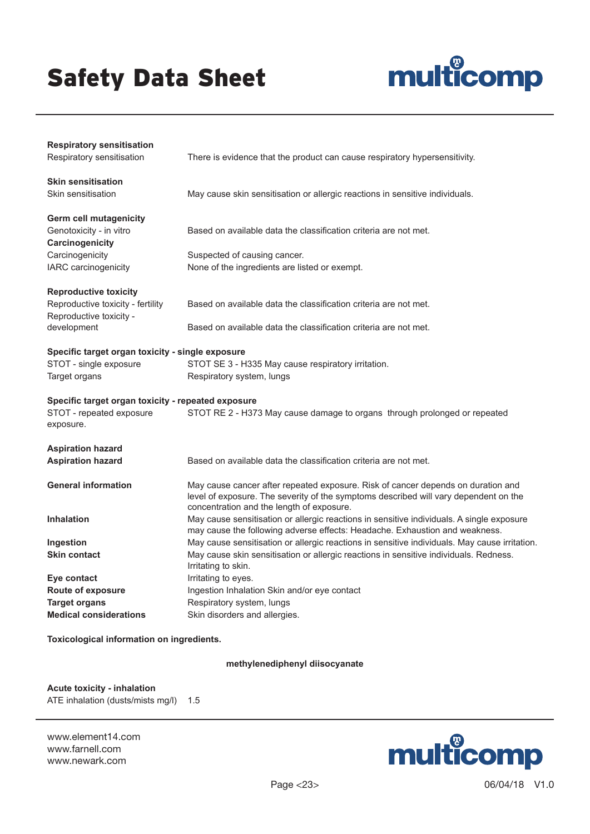

| <b>Respiratory sensitisation</b><br>Respiratory sensitisation | There is evidence that the product can cause respiratory hypersensitivity.                                                                                                                                            |  |
|---------------------------------------------------------------|-----------------------------------------------------------------------------------------------------------------------------------------------------------------------------------------------------------------------|--|
| <b>Skin sensitisation</b><br>Skin sensitisation               | May cause skin sensitisation or allergic reactions in sensitive individuals.                                                                                                                                          |  |
| <b>Germ cell mutagenicity</b>                                 |                                                                                                                                                                                                                       |  |
| Genotoxicity - in vitro                                       | Based on available data the classification criteria are not met.                                                                                                                                                      |  |
| Carcinogenicity                                               |                                                                                                                                                                                                                       |  |
| Carcinogenicity                                               | Suspected of causing cancer.                                                                                                                                                                                          |  |
| IARC carcinogenicity                                          | None of the ingredients are listed or exempt.                                                                                                                                                                         |  |
| <b>Reproductive toxicity</b>                                  |                                                                                                                                                                                                                       |  |
| Reproductive toxicity - fertility                             | Based on available data the classification criteria are not met.                                                                                                                                                      |  |
| Reproductive toxicity -<br>development                        | Based on available data the classification criteria are not met.                                                                                                                                                      |  |
| Specific target organ toxicity - single exposure              |                                                                                                                                                                                                                       |  |
| STOT - single exposure                                        | STOT SE 3 - H335 May cause respiratory irritation.                                                                                                                                                                    |  |
| Target organs                                                 | Respiratory system, lungs                                                                                                                                                                                             |  |
| Specific target organ toxicity - repeated exposure            |                                                                                                                                                                                                                       |  |
| STOT - repeated exposure<br>exposure.                         | STOT RE 2 - H373 May cause damage to organs through prolonged or repeated                                                                                                                                             |  |
| <b>Aspiration hazard</b>                                      |                                                                                                                                                                                                                       |  |
| <b>Aspiration hazard</b>                                      | Based on available data the classification criteria are not met.                                                                                                                                                      |  |
| <b>General information</b>                                    | May cause cancer after repeated exposure. Risk of cancer depends on duration and<br>level of exposure. The severity of the symptoms described will vary dependent on the<br>concentration and the length of exposure. |  |
| <b>Inhalation</b>                                             | May cause sensitisation or allergic reactions in sensitive individuals. A single exposure<br>may cause the following adverse effects: Headache. Exhaustion and weakness.                                              |  |
| Ingestion                                                     | May cause sensitisation or allergic reactions in sensitive individuals. May cause irritation.                                                                                                                         |  |
| <b>Skin contact</b>                                           | May cause skin sensitisation or allergic reactions in sensitive individuals. Redness.<br>Irritating to skin.                                                                                                          |  |
| Eye contact                                                   | Irritating to eyes.                                                                                                                                                                                                   |  |
| Route of exposure                                             | Ingestion Inhalation Skin and/or eye contact                                                                                                                                                                          |  |
| <b>Target organs</b>                                          | Respiratory system, lungs                                                                                                                                                                                             |  |
| <b>Medical considerations</b>                                 | Skin disorders and allergies.                                                                                                                                                                                         |  |

**Toxicological information on ingredients.**

#### **methylenediphenyl diisocyanate**

**Acute toxicity - inhalation** ATE inhalation (dusts/mists mg/l) 1.5

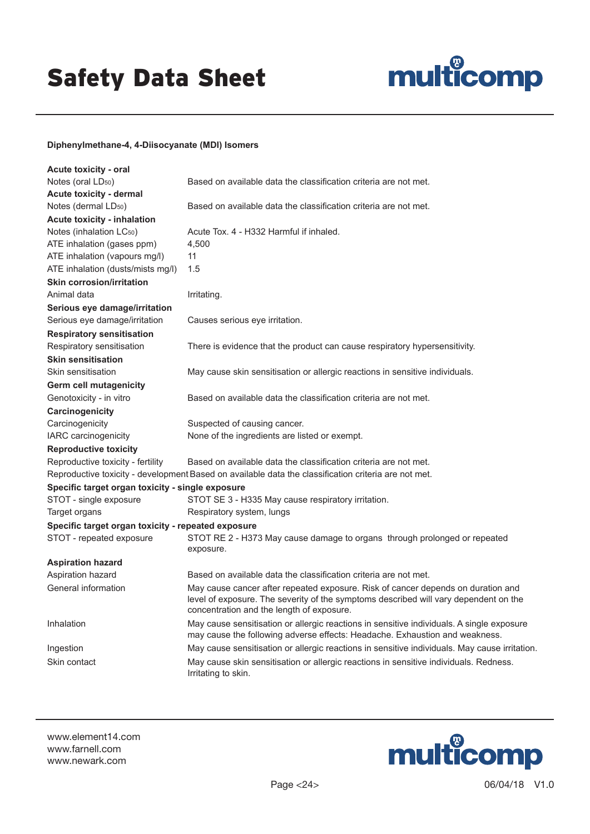

#### **Diphenylmethane-4, 4-Diisocyanate (MDI) Isomers**

| <b>Acute toxicity - oral</b>                       |                                                                                                                                                                                                                       |
|----------------------------------------------------|-----------------------------------------------------------------------------------------------------------------------------------------------------------------------------------------------------------------------|
| Notes (oral LD <sub>50</sub> )                     | Based on available data the classification criteria are not met.                                                                                                                                                      |
| Acute toxicity - dermal                            |                                                                                                                                                                                                                       |
| Notes (dermal LD <sub>50</sub> )                   | Based on available data the classification criteria are not met.                                                                                                                                                      |
| <b>Acute toxicity - inhalation</b>                 |                                                                                                                                                                                                                       |
| Notes (inhalation LC <sub>50</sub> )               | Acute Tox, 4 - H332 Harmful if inhaled.                                                                                                                                                                               |
| ATE inhalation (gases ppm)                         | 4,500                                                                                                                                                                                                                 |
| ATE inhalation (vapours mg/l)                      | 11                                                                                                                                                                                                                    |
| ATE inhalation (dusts/mists mg/l)                  | 1.5                                                                                                                                                                                                                   |
| <b>Skin corrosion/irritation</b>                   |                                                                                                                                                                                                                       |
| Animal data                                        | Irritating.                                                                                                                                                                                                           |
| Serious eye damage/irritation                      |                                                                                                                                                                                                                       |
| Serious eye damage/irritation                      | Causes serious eye irritation.                                                                                                                                                                                        |
| <b>Respiratory sensitisation</b>                   |                                                                                                                                                                                                                       |
| Respiratory sensitisation                          | There is evidence that the product can cause respiratory hypersensitivity.                                                                                                                                            |
| <b>Skin sensitisation</b>                          |                                                                                                                                                                                                                       |
| Skin sensitisation                                 | May cause skin sensitisation or allergic reactions in sensitive individuals.                                                                                                                                          |
| <b>Germ cell mutagenicity</b>                      |                                                                                                                                                                                                                       |
| Genotoxicity - in vitro                            | Based on available data the classification criteria are not met.                                                                                                                                                      |
| Carcinogenicity                                    |                                                                                                                                                                                                                       |
| Carcinogenicity                                    | Suspected of causing cancer.                                                                                                                                                                                          |
| IARC carcinogenicity                               | None of the ingredients are listed or exempt.                                                                                                                                                                         |
| <b>Reproductive toxicity</b>                       |                                                                                                                                                                                                                       |
| Reproductive toxicity - fertility                  | Based on available data the classification criteria are not met.                                                                                                                                                      |
|                                                    | Reproductive toxicity - development Based on available data the classification criteria are not met.                                                                                                                  |
| Specific target organ toxicity - single exposure   |                                                                                                                                                                                                                       |
| STOT - single exposure                             | STOT SE 3 - H335 May cause respiratory irritation.                                                                                                                                                                    |
| Target organs                                      | Respiratory system, lungs                                                                                                                                                                                             |
| Specific target organ toxicity - repeated exposure |                                                                                                                                                                                                                       |
| STOT - repeated exposure                           | STOT RE 2 - H373 May cause damage to organs through prolonged or repeated<br>exposure.                                                                                                                                |
| <b>Aspiration hazard</b>                           |                                                                                                                                                                                                                       |
| Aspiration hazard                                  | Based on available data the classification criteria are not met.                                                                                                                                                      |
| General information                                | May cause cancer after repeated exposure. Risk of cancer depends on duration and<br>level of exposure. The severity of the symptoms described will vary dependent on the<br>concentration and the length of exposure. |
| Inhalation                                         | May cause sensitisation or allergic reactions in sensitive individuals. A single exposure<br>may cause the following adverse effects: Headache. Exhaustion and weakness.                                              |
| Ingestion                                          | May cause sensitisation or allergic reactions in sensitive individuals. May cause irritation                                                                                                                          |
| Skin contact                                       | May cause skin sensitisation or allergic reactions in sensitive individuals. Redness.<br>Irritating to skin.                                                                                                          |

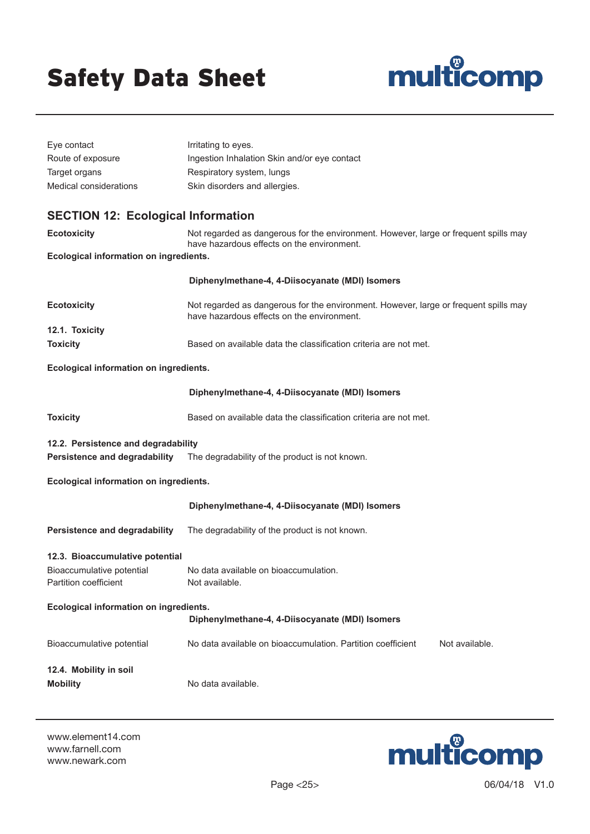

| Eye contact                                        | Irritating to eyes.                                                                                                                |  |
|----------------------------------------------------|------------------------------------------------------------------------------------------------------------------------------------|--|
| Route of exposure                                  | Ingestion Inhalation Skin and/or eye contact                                                                                       |  |
| Target organs                                      | Respiratory system, lungs                                                                                                          |  |
| Medical considerations                             | Skin disorders and allergies.                                                                                                      |  |
| <b>SECTION 12: Ecological Information</b>          |                                                                                                                                    |  |
| <b>Ecotoxicity</b>                                 | Not regarded as dangerous for the environment. However, large or frequent spills may<br>have hazardous effects on the environment. |  |
| Ecological information on ingredients.             |                                                                                                                                    |  |
|                                                    | Diphenylmethane-4, 4-Diisocyanate (MDI) Isomers                                                                                    |  |
| <b>Ecotoxicity</b>                                 | Not regarded as dangerous for the environment. However, large or frequent spills may<br>have hazardous effects on the environment. |  |
| 12.1. Toxicity<br><b>Toxicity</b>                  | Based on available data the classification criteria are not met.                                                                   |  |
|                                                    |                                                                                                                                    |  |
| Ecological information on ingredients.             |                                                                                                                                    |  |
|                                                    | Diphenylmethane-4, 4-Diisocyanate (MDI) Isomers                                                                                    |  |
| <b>Toxicity</b>                                    | Based on available data the classification criteria are not met.                                                                   |  |
| 12.2. Persistence and degradability                |                                                                                                                                    |  |
| Persistence and degradability                      | The degradability of the product is not known.                                                                                     |  |
| Ecological information on ingredients.             |                                                                                                                                    |  |
|                                                    | Diphenylmethane-4, 4-Diisocyanate (MDI) Isomers                                                                                    |  |
| Persistence and degradability                      | The degradability of the product is not known.                                                                                     |  |
| 12.3. Bioaccumulative potential                    |                                                                                                                                    |  |
| Bioaccumulative potential<br>Partition coefficient | No data available on bioaccumulation.<br>Not available.                                                                            |  |
| Ecological information on ingredients.             |                                                                                                                                    |  |
|                                                    | Diphenylmethane-4, 4-Diisocyanate (MDI) Isomers                                                                                    |  |
| Bioaccumulative potential                          | No data available on bioaccumulation. Partition coefficient<br>Not available.                                                      |  |
| 12.4. Mobility in soil                             |                                                                                                                                    |  |
| <b>Mobility</b>                                    | No data available.                                                                                                                 |  |

www.element14.com www.farnell.com www.newark.com



Page <25> 06/04/18 V1.0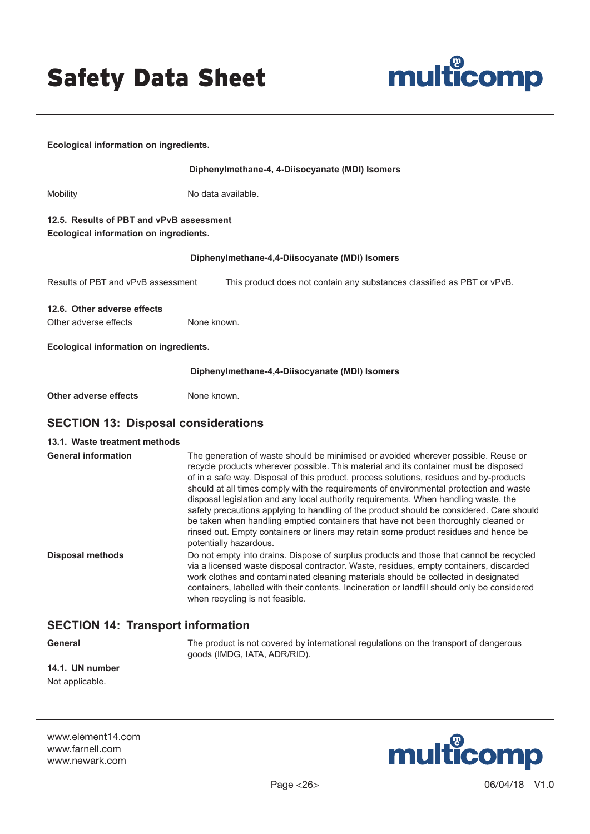

| Ecological information on ingredients.                                             |                                                                                                                                                                                                                                                                                                                                                                                                                                                                                                                                                                                                                                                                                                                                                            |
|------------------------------------------------------------------------------------|------------------------------------------------------------------------------------------------------------------------------------------------------------------------------------------------------------------------------------------------------------------------------------------------------------------------------------------------------------------------------------------------------------------------------------------------------------------------------------------------------------------------------------------------------------------------------------------------------------------------------------------------------------------------------------------------------------------------------------------------------------|
|                                                                                    | Diphenylmethane-4, 4-Diisocyanate (MDI) Isomers                                                                                                                                                                                                                                                                                                                                                                                                                                                                                                                                                                                                                                                                                                            |
| Mobility                                                                           | No data available.                                                                                                                                                                                                                                                                                                                                                                                                                                                                                                                                                                                                                                                                                                                                         |
| 12.5. Results of PBT and vPvB assessment<br>Ecological information on ingredients. |                                                                                                                                                                                                                                                                                                                                                                                                                                                                                                                                                                                                                                                                                                                                                            |
|                                                                                    | Diphenylmethane-4,4-Diisocyanate (MDI) Isomers                                                                                                                                                                                                                                                                                                                                                                                                                                                                                                                                                                                                                                                                                                             |
| Results of PBT and vPvB assessment                                                 | This product does not contain any substances classified as PBT or vPvB.                                                                                                                                                                                                                                                                                                                                                                                                                                                                                                                                                                                                                                                                                    |
| 12.6. Other adverse effects<br>Other adverse effects                               | None known.                                                                                                                                                                                                                                                                                                                                                                                                                                                                                                                                                                                                                                                                                                                                                |
| Ecological information on ingredients.                                             |                                                                                                                                                                                                                                                                                                                                                                                                                                                                                                                                                                                                                                                                                                                                                            |
|                                                                                    | Diphenylmethane-4,4-Diisocyanate (MDI) Isomers                                                                                                                                                                                                                                                                                                                                                                                                                                                                                                                                                                                                                                                                                                             |
| <b>Other adverse effects</b>                                                       | None known.                                                                                                                                                                                                                                                                                                                                                                                                                                                                                                                                                                                                                                                                                                                                                |
| <b>SECTION 13: Disposal considerations</b>                                         |                                                                                                                                                                                                                                                                                                                                                                                                                                                                                                                                                                                                                                                                                                                                                            |
| 13.1. Waste treatment methods                                                      |                                                                                                                                                                                                                                                                                                                                                                                                                                                                                                                                                                                                                                                                                                                                                            |
| <b>General information</b>                                                         | The generation of waste should be minimised or avoided wherever possible. Reuse or<br>recycle products wherever possible. This material and its container must be disposed<br>of in a safe way. Disposal of this product, process solutions, residues and by-products<br>should at all times comply with the requirements of environmental protection and waste<br>disposal legislation and any local authority requirements. When handling waste, the<br>safety precautions applying to handling of the product should be considered. Care should<br>be taken when handling emptied containers that have not been thoroughly cleaned or<br>rinsed out. Empty containers or liners may retain some product residues and hence be<br>potentially hazardous. |
| <b>Disposal methods</b>                                                            | Do not empty into drains. Dispose of surplus products and those that cannot be recycled<br>via a licensed waste disposal contractor. Waste, residues, empty containers, discarded<br>work clothes and contaminated cleaning materials should be collected in designated<br>containers, labelled with their contents. Incineration or landfill should only be considered<br>when recycling is not feasible.                                                                                                                                                                                                                                                                                                                                                 |
| <b>SECTION 14: Transport information</b>                                           |                                                                                                                                                                                                                                                                                                                                                                                                                                                                                                                                                                                                                                                                                                                                                            |
| General                                                                            | The product is not covered by international regulations on the transport of dangerous<br>goods (IMDG, IATA, ADR/RID).                                                                                                                                                                                                                                                                                                                                                                                                                                                                                                                                                                                                                                      |

**14.1. UN number** Not applicable.

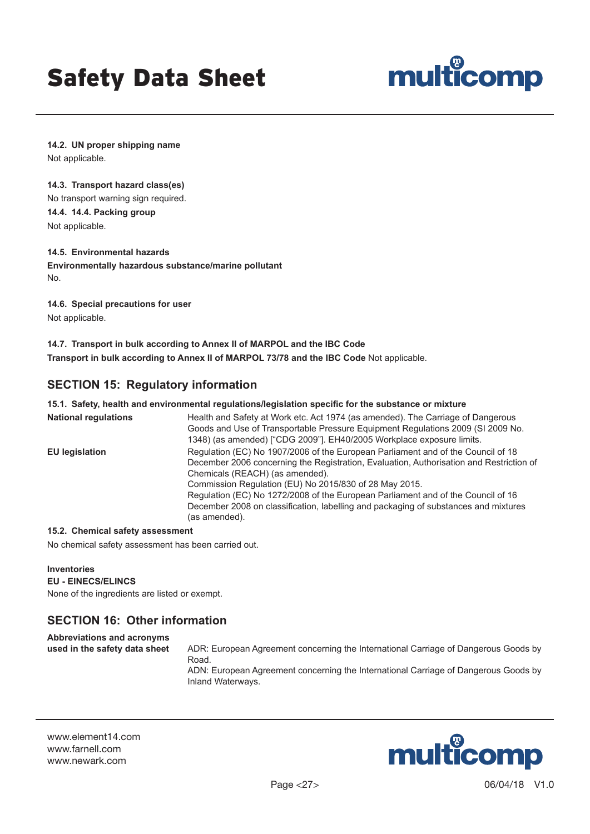

**14.2. UN proper shipping name** Not applicable.

#### **14.3. Transport hazard class(es)**

No transport warning sign required. **14.4. 14.4. Packing group** Not applicable.

#### **14.5. Environmental hazards**

**Environmentally hazardous substance/marine pollutant** No.

**14.6. Special precautions for user** Not applicable.

**14.7. Transport in bulk according to Annex II of MARPOL and the IBC Code Transport in bulk according to Annex II of MARPOL 73/78 and the IBC Code Not applicable.** 

# **SECTION 15: Regulatory information**

#### **15.1. Safety, health and environmental regulations/legislation specific for the substance or mixture**

| <b>National regulations</b> | Health and Safety at Work etc. Act 1974 (as amended). The Carriage of Dangerous<br>Goods and Use of Transportable Pressure Equipment Regulations 2009 (SI 2009 No.<br>1348) (as amended) ["CDG 2009"]. EH40/2005 Workplace exposure limits.                                                                                                                                                                                                                          |
|-----------------------------|----------------------------------------------------------------------------------------------------------------------------------------------------------------------------------------------------------------------------------------------------------------------------------------------------------------------------------------------------------------------------------------------------------------------------------------------------------------------|
| <b>EU</b> legislation       | Regulation (EC) No 1907/2006 of the European Parliament and of the Council of 18<br>December 2006 concerning the Registration, Evaluation, Authorisation and Restriction of<br>Chemicals (REACH) (as amended).<br>Commission Regulation (EU) No 2015/830 of 28 May 2015.<br>Regulation (EC) No 1272/2008 of the European Parliament and of the Council of 16<br>December 2008 on classification, labelling and packaging of substances and mixtures<br>(as amended). |

#### **15.2. Chemical safety assessment**

No chemical safety assessment has been carried out.

**Inventories EU - EINECS/ELINCS** None of the ingredients are listed or exempt.

# **SECTION 16: Other information**

**Abbreviations and acronyms** 

**used in the safety data sheet** ADR: European Agreement concerning the International Carriage of Dangerous Goods by Road. ADN: European Agreement concerning the International Carriage of Dangerous Goods by Inland Waterways.